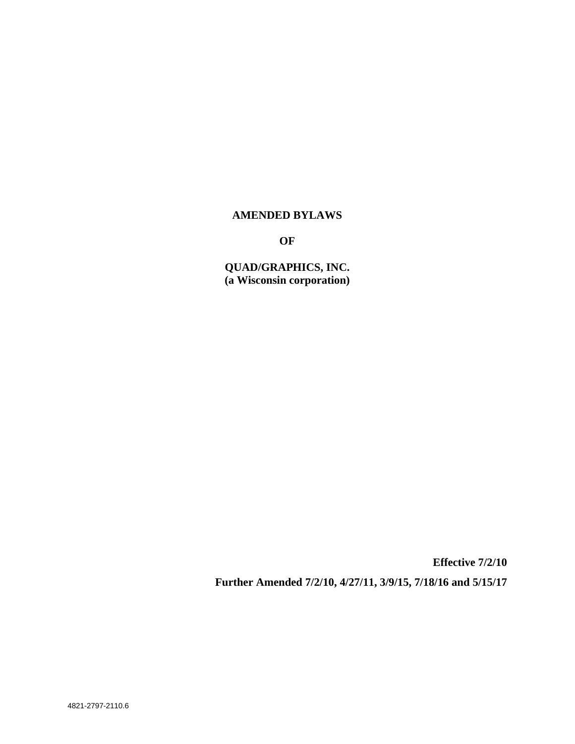## **AMENDED BYLAWS**

**OF**

**QUAD/GRAPHICS, INC. (a Wisconsin corporation)**

**Effective 7/2/10 Further Amended 7/2/10, 4/27/11, 3/9/15, 7/18/16 and 5/15/17**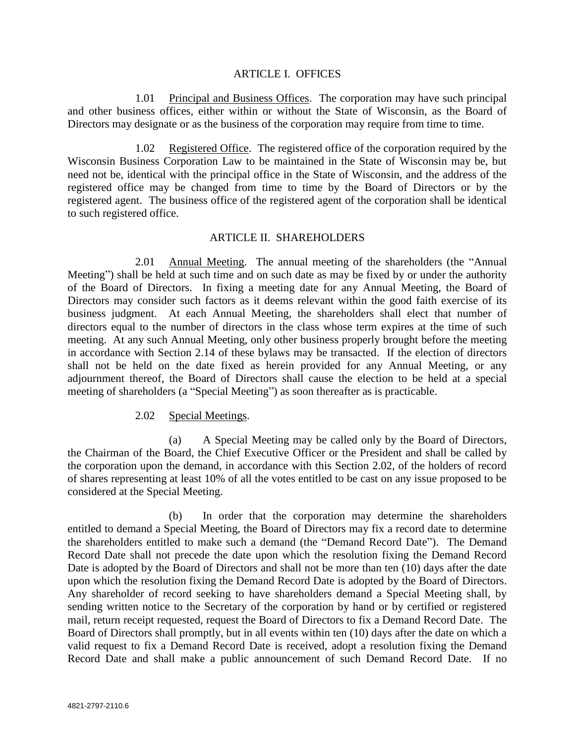#### ARTICLE I. OFFICES

1.01 Principal and Business Offices. The corporation may have such principal and other business offices, either within or without the State of Wisconsin, as the Board of Directors may designate or as the business of the corporation may require from time to time.

1.02 Registered Office. The registered office of the corporation required by the Wisconsin Business Corporation Law to be maintained in the State of Wisconsin may be, but need not be, identical with the principal office in the State of Wisconsin, and the address of the registered office may be changed from time to time by the Board of Directors or by the registered agent. The business office of the registered agent of the corporation shall be identical to such registered office.

#### ARTICLE II. SHAREHOLDERS

2.01 Annual Meeting. The annual meeting of the shareholders (the "Annual Meeting") shall be held at such time and on such date as may be fixed by or under the authority of the Board of Directors. In fixing a meeting date for any Annual Meeting, the Board of Directors may consider such factors as it deems relevant within the good faith exercise of its business judgment. At each Annual Meeting, the shareholders shall elect that number of directors equal to the number of directors in the class whose term expires at the time of such meeting. At any such Annual Meeting, only other business properly brought before the meeting in accordance with Section 2.14 of these bylaws may be transacted. If the election of directors shall not be held on the date fixed as herein provided for any Annual Meeting, or any adjournment thereof, the Board of Directors shall cause the election to be held at a special meeting of shareholders (a "Special Meeting") as soon thereafter as is practicable.

## 2.02 Special Meetings.

(a) A Special Meeting may be called only by the Board of Directors, the Chairman of the Board, the Chief Executive Officer or the President and shall be called by the corporation upon the demand, in accordance with this Section 2.02, of the holders of record of shares representing at least 10% of all the votes entitled to be cast on any issue proposed to be considered at the Special Meeting.

(b) In order that the corporation may determine the shareholders entitled to demand a Special Meeting, the Board of Directors may fix a record date to determine the shareholders entitled to make such a demand (the "Demand Record Date"). The Demand Record Date shall not precede the date upon which the resolution fixing the Demand Record Date is adopted by the Board of Directors and shall not be more than ten (10) days after the date upon which the resolution fixing the Demand Record Date is adopted by the Board of Directors. Any shareholder of record seeking to have shareholders demand a Special Meeting shall, by sending written notice to the Secretary of the corporation by hand or by certified or registered mail, return receipt requested, request the Board of Directors to fix a Demand Record Date. The Board of Directors shall promptly, but in all events within ten (10) days after the date on which a valid request to fix a Demand Record Date is received, adopt a resolution fixing the Demand Record Date and shall make a public announcement of such Demand Record Date. If no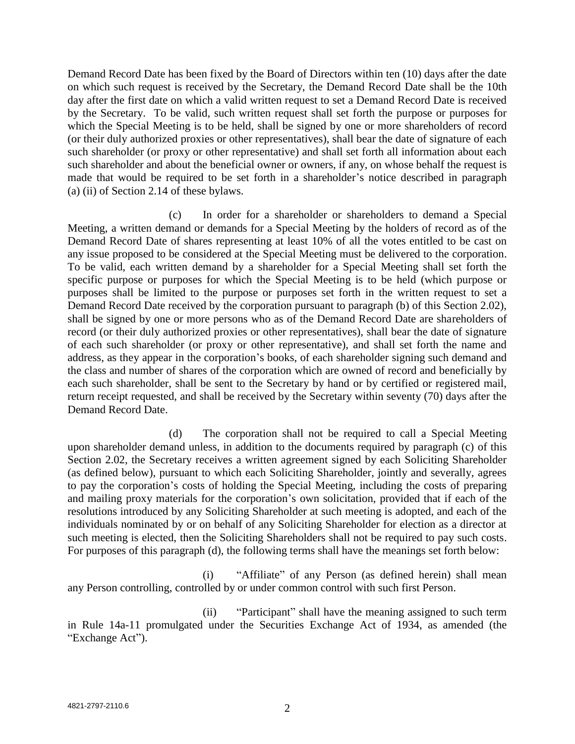Demand Record Date has been fixed by the Board of Directors within ten (10) days after the date on which such request is received by the Secretary, the Demand Record Date shall be the 10th day after the first date on which a valid written request to set a Demand Record Date is received by the Secretary. To be valid, such written request shall set forth the purpose or purposes for which the Special Meeting is to be held, shall be signed by one or more shareholders of record (or their duly authorized proxies or other representatives), shall bear the date of signature of each such shareholder (or proxy or other representative) and shall set forth all information about each such shareholder and about the beneficial owner or owners, if any, on whose behalf the request is made that would be required to be set forth in a shareholder's notice described in paragraph (a) (ii) of Section 2.14 of these bylaws.

(c) In order for a shareholder or shareholders to demand a Special Meeting, a written demand or demands for a Special Meeting by the holders of record as of the Demand Record Date of shares representing at least 10% of all the votes entitled to be cast on any issue proposed to be considered at the Special Meeting must be delivered to the corporation. To be valid, each written demand by a shareholder for a Special Meeting shall set forth the specific purpose or purposes for which the Special Meeting is to be held (which purpose or purposes shall be limited to the purpose or purposes set forth in the written request to set a Demand Record Date received by the corporation pursuant to paragraph (b) of this Section 2.02), shall be signed by one or more persons who as of the Demand Record Date are shareholders of record (or their duly authorized proxies or other representatives), shall bear the date of signature of each such shareholder (or proxy or other representative), and shall set forth the name and address, as they appear in the corporation's books, of each shareholder signing such demand and the class and number of shares of the corporation which are owned of record and beneficially by each such shareholder, shall be sent to the Secretary by hand or by certified or registered mail, return receipt requested, and shall be received by the Secretary within seventy (70) days after the Demand Record Date.

(d) The corporation shall not be required to call a Special Meeting upon shareholder demand unless, in addition to the documents required by paragraph (c) of this Section 2.02, the Secretary receives a written agreement signed by each Soliciting Shareholder (as defined below), pursuant to which each Soliciting Shareholder, jointly and severally, agrees to pay the corporation's costs of holding the Special Meeting, including the costs of preparing and mailing proxy materials for the corporation's own solicitation, provided that if each of the resolutions introduced by any Soliciting Shareholder at such meeting is adopted, and each of the individuals nominated by or on behalf of any Soliciting Shareholder for election as a director at such meeting is elected, then the Soliciting Shareholders shall not be required to pay such costs. For purposes of this paragraph (d), the following terms shall have the meanings set forth below:

(i) "Affiliate" of any Person (as defined herein) shall mean any Person controlling, controlled by or under common control with such first Person.

(ii) "Participant" shall have the meaning assigned to such term in Rule 14a-11 promulgated under the Securities Exchange Act of 1934, as amended (the "Exchange Act").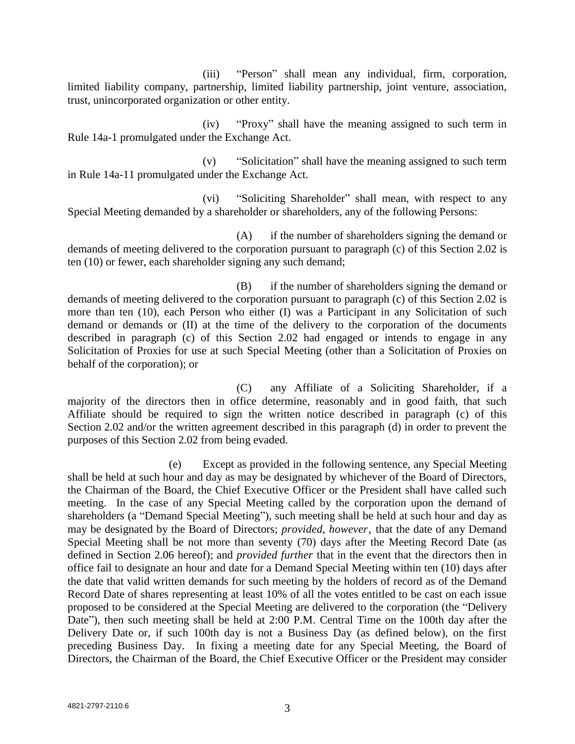(iii) "Person" shall mean any individual, firm, corporation, limited liability company, partnership, limited liability partnership, joint venture, association, trust, unincorporated organization or other entity.

(iv) "Proxy" shall have the meaning assigned to such term in Rule 14a-1 promulgated under the Exchange Act.

(v) "Solicitation" shall have the meaning assigned to such term in Rule 14a-11 promulgated under the Exchange Act.

(vi) "Soliciting Shareholder" shall mean, with respect to any Special Meeting demanded by a shareholder or shareholders, any of the following Persons:

(A) if the number of shareholders signing the demand or demands of meeting delivered to the corporation pursuant to paragraph (c) of this Section 2.02 is ten (10) or fewer, each shareholder signing any such demand;

(B) if the number of shareholders signing the demand or demands of meeting delivered to the corporation pursuant to paragraph (c) of this Section 2.02 is more than ten (10), each Person who either (I) was a Participant in any Solicitation of such demand or demands or (II) at the time of the delivery to the corporation of the documents described in paragraph (c) of this Section 2.02 had engaged or intends to engage in any Solicitation of Proxies for use at such Special Meeting (other than a Solicitation of Proxies on behalf of the corporation); or

(C) any Affiliate of a Soliciting Shareholder, if a majority of the directors then in office determine, reasonably and in good faith, that such Affiliate should be required to sign the written notice described in paragraph (c) of this Section 2.02 and/or the written agreement described in this paragraph (d) in order to prevent the purposes of this Section 2.02 from being evaded.

(e) Except as provided in the following sentence, any Special Meeting shall be held at such hour and day as may be designated by whichever of the Board of Directors, the Chairman of the Board, the Chief Executive Officer or the President shall have called such meeting. In the case of any Special Meeting called by the corporation upon the demand of shareholders (a "Demand Special Meeting"), such meeting shall be held at such hour and day as may be designated by the Board of Directors; *provided, however,* that the date of any Demand Special Meeting shall be not more than seventy (70) days after the Meeting Record Date (as defined in Section 2.06 hereof); and *provided further* that in the event that the directors then in office fail to designate an hour and date for a Demand Special Meeting within ten (10) days after the date that valid written demands for such meeting by the holders of record as of the Demand Record Date of shares representing at least 10% of all the votes entitled to be cast on each issue proposed to be considered at the Special Meeting are delivered to the corporation (the "Delivery Date"), then such meeting shall be held at 2:00 P.M. Central Time on the 100th day after the Delivery Date or, if such 100th day is not a Business Day (as defined below), on the first preceding Business Day. In fixing a meeting date for any Special Meeting, the Board of Directors, the Chairman of the Board, the Chief Executive Officer or the President may consider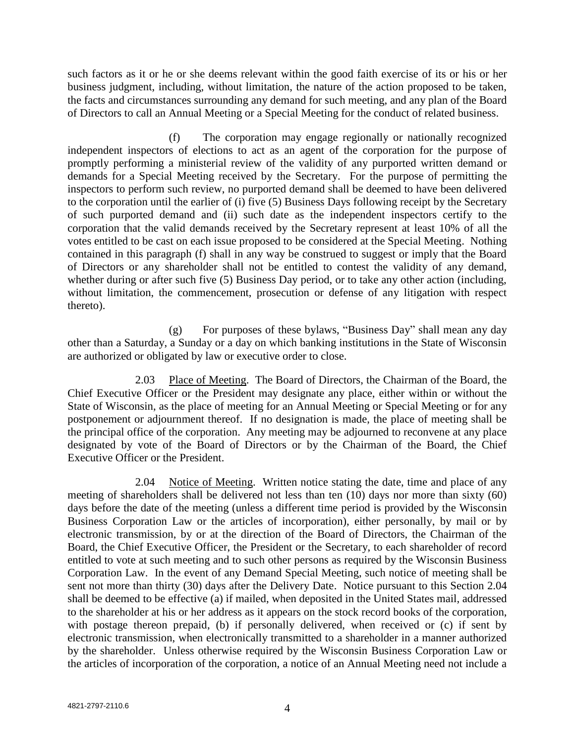such factors as it or he or she deems relevant within the good faith exercise of its or his or her business judgment, including, without limitation, the nature of the action proposed to be taken, the facts and circumstances surrounding any demand for such meeting, and any plan of the Board of Directors to call an Annual Meeting or a Special Meeting for the conduct of related business.

(f) The corporation may engage regionally or nationally recognized independent inspectors of elections to act as an agent of the corporation for the purpose of promptly performing a ministerial review of the validity of any purported written demand or demands for a Special Meeting received by the Secretary. For the purpose of permitting the inspectors to perform such review, no purported demand shall be deemed to have been delivered to the corporation until the earlier of (i) five (5) Business Days following receipt by the Secretary of such purported demand and (ii) such date as the independent inspectors certify to the corporation that the valid demands received by the Secretary represent at least 10% of all the votes entitled to be cast on each issue proposed to be considered at the Special Meeting. Nothing contained in this paragraph (f) shall in any way be construed to suggest or imply that the Board of Directors or any shareholder shall not be entitled to contest the validity of any demand, whether during or after such five (5) Business Day period, or to take any other action (including, without limitation, the commencement, prosecution or defense of any litigation with respect thereto).

(g) For purposes of these bylaws, "Business Day" shall mean any day other than a Saturday, a Sunday or a day on which banking institutions in the State of Wisconsin are authorized or obligated by law or executive order to close.

2.03 Place of Meeting. The Board of Directors, the Chairman of the Board, the Chief Executive Officer or the President may designate any place, either within or without the State of Wisconsin, as the place of meeting for an Annual Meeting or Special Meeting or for any postponement or adjournment thereof. If no designation is made, the place of meeting shall be the principal office of the corporation. Any meeting may be adjourned to reconvene at any place designated by vote of the Board of Directors or by the Chairman of the Board, the Chief Executive Officer or the President.

2.04 Notice of Meeting. Written notice stating the date, time and place of any meeting of shareholders shall be delivered not less than ten (10) days nor more than sixty (60) days before the date of the meeting (unless a different time period is provided by the Wisconsin Business Corporation Law or the articles of incorporation), either personally, by mail or by electronic transmission, by or at the direction of the Board of Directors, the Chairman of the Board, the Chief Executive Officer, the President or the Secretary, to each shareholder of record entitled to vote at such meeting and to such other persons as required by the Wisconsin Business Corporation Law. In the event of any Demand Special Meeting, such notice of meeting shall be sent not more than thirty (30) days after the Delivery Date. Notice pursuant to this Section 2.04 shall be deemed to be effective (a) if mailed, when deposited in the United States mail, addressed to the shareholder at his or her address as it appears on the stock record books of the corporation, with postage thereon prepaid, (b) if personally delivered, when received or (c) if sent by electronic transmission, when electronically transmitted to a shareholder in a manner authorized by the shareholder. Unless otherwise required by the Wisconsin Business Corporation Law or the articles of incorporation of the corporation, a notice of an Annual Meeting need not include a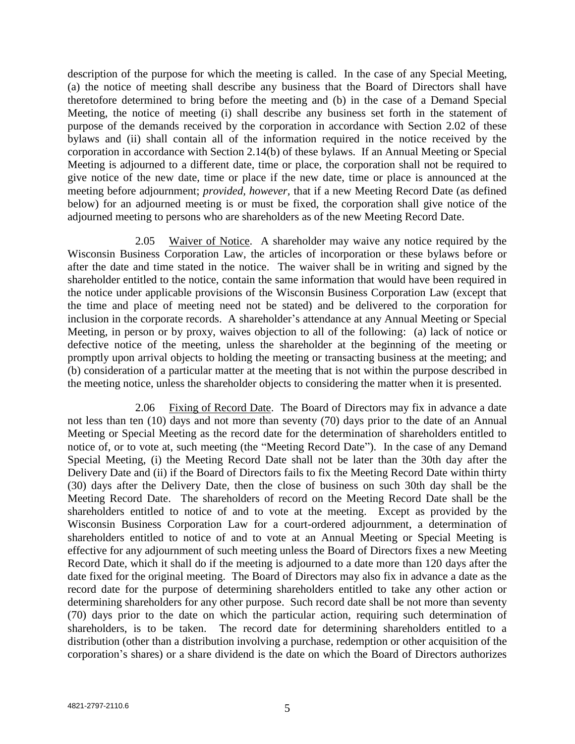description of the purpose for which the meeting is called. In the case of any Special Meeting, (a) the notice of meeting shall describe any business that the Board of Directors shall have theretofore determined to bring before the meeting and (b) in the case of a Demand Special Meeting, the notice of meeting (i) shall describe any business set forth in the statement of purpose of the demands received by the corporation in accordance with Section 2.02 of these bylaws and (ii) shall contain all of the information required in the notice received by the corporation in accordance with Section 2.14(b) of these bylaws. If an Annual Meeting or Special Meeting is adjourned to a different date, time or place, the corporation shall not be required to give notice of the new date, time or place if the new date, time or place is announced at the meeting before adjournment; *provided, however,* that if a new Meeting Record Date (as defined below) for an adjourned meeting is or must be fixed, the corporation shall give notice of the adjourned meeting to persons who are shareholders as of the new Meeting Record Date.

2.05 Waiver of Notice. A shareholder may waive any notice required by the Wisconsin Business Corporation Law, the articles of incorporation or these bylaws before or after the date and time stated in the notice. The waiver shall be in writing and signed by the shareholder entitled to the notice, contain the same information that would have been required in the notice under applicable provisions of the Wisconsin Business Corporation Law (except that the time and place of meeting need not be stated) and be delivered to the corporation for inclusion in the corporate records. A shareholder's attendance at any Annual Meeting or Special Meeting, in person or by proxy, waives objection to all of the following: (a) lack of notice or defective notice of the meeting, unless the shareholder at the beginning of the meeting or promptly upon arrival objects to holding the meeting or transacting business at the meeting; and (b) consideration of a particular matter at the meeting that is not within the purpose described in the meeting notice, unless the shareholder objects to considering the matter when it is presented.

2.06 Fixing of Record Date. The Board of Directors may fix in advance a date not less than ten (10) days and not more than seventy (70) days prior to the date of an Annual Meeting or Special Meeting as the record date for the determination of shareholders entitled to notice of, or to vote at, such meeting (the "Meeting Record Date"). In the case of any Demand Special Meeting, (i) the Meeting Record Date shall not be later than the 30th day after the Delivery Date and (ii) if the Board of Directors fails to fix the Meeting Record Date within thirty (30) days after the Delivery Date, then the close of business on such 30th day shall be the Meeting Record Date. The shareholders of record on the Meeting Record Date shall be the shareholders entitled to notice of and to vote at the meeting. Except as provided by the Wisconsin Business Corporation Law for a court-ordered adjournment, a determination of shareholders entitled to notice of and to vote at an Annual Meeting or Special Meeting is effective for any adjournment of such meeting unless the Board of Directors fixes a new Meeting Record Date, which it shall do if the meeting is adjourned to a date more than 120 days after the date fixed for the original meeting. The Board of Directors may also fix in advance a date as the record date for the purpose of determining shareholders entitled to take any other action or determining shareholders for any other purpose. Such record date shall be not more than seventy (70) days prior to the date on which the particular action, requiring such determination of shareholders, is to be taken. The record date for determining shareholders entitled to a distribution (other than a distribution involving a purchase, redemption or other acquisition of the corporation's shares) or a share dividend is the date on which the Board of Directors authorizes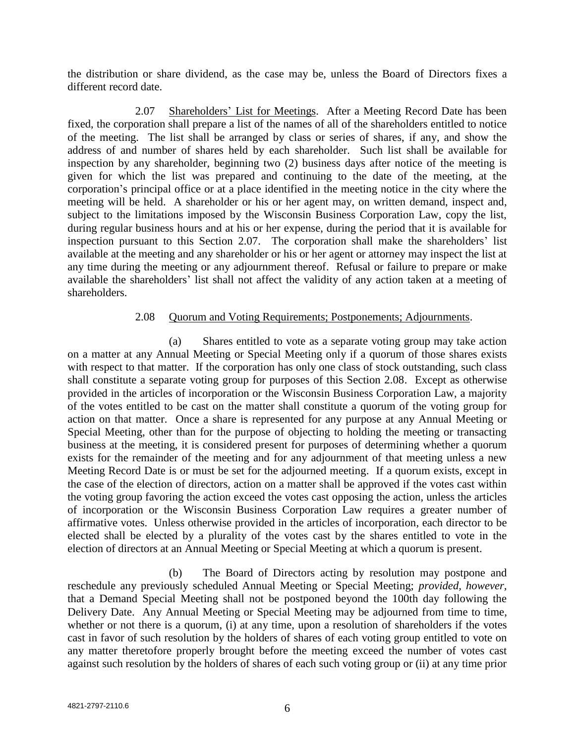the distribution or share dividend, as the case may be, unless the Board of Directors fixes a different record date.

2.07 Shareholders' List for Meetings. After a Meeting Record Date has been fixed, the corporation shall prepare a list of the names of all of the shareholders entitled to notice of the meeting. The list shall be arranged by class or series of shares, if any, and show the address of and number of shares held by each shareholder. Such list shall be available for inspection by any shareholder, beginning two (2) business days after notice of the meeting is given for which the list was prepared and continuing to the date of the meeting, at the corporation's principal office or at a place identified in the meeting notice in the city where the meeting will be held. A shareholder or his or her agent may, on written demand, inspect and, subject to the limitations imposed by the Wisconsin Business Corporation Law, copy the list, during regular business hours and at his or her expense, during the period that it is available for inspection pursuant to this Section 2.07. The corporation shall make the shareholders' list available at the meeting and any shareholder or his or her agent or attorney may inspect the list at any time during the meeting or any adjournment thereof. Refusal or failure to prepare or make available the shareholders' list shall not affect the validity of any action taken at a meeting of shareholders.

## 2.08 Ouorum and Voting Requirements; Postponements; Adjournments.

(a) Shares entitled to vote as a separate voting group may take action on a matter at any Annual Meeting or Special Meeting only if a quorum of those shares exists with respect to that matter. If the corporation has only one class of stock outstanding, such class shall constitute a separate voting group for purposes of this Section 2.08. Except as otherwise provided in the articles of incorporation or the Wisconsin Business Corporation Law, a majority of the votes entitled to be cast on the matter shall constitute a quorum of the voting group for action on that matter. Once a share is represented for any purpose at any Annual Meeting or Special Meeting, other than for the purpose of objecting to holding the meeting or transacting business at the meeting, it is considered present for purposes of determining whether a quorum exists for the remainder of the meeting and for any adjournment of that meeting unless a new Meeting Record Date is or must be set for the adjourned meeting. If a quorum exists, except in the case of the election of directors, action on a matter shall be approved if the votes cast within the voting group favoring the action exceed the votes cast opposing the action, unless the articles of incorporation or the Wisconsin Business Corporation Law requires a greater number of affirmative votes. Unless otherwise provided in the articles of incorporation, each director to be elected shall be elected by a plurality of the votes cast by the shares entitled to vote in the election of directors at an Annual Meeting or Special Meeting at which a quorum is present.

(b) The Board of Directors acting by resolution may postpone and reschedule any previously scheduled Annual Meeting or Special Meeting; *provided, however,*  that a Demand Special Meeting shall not be postponed beyond the 100th day following the Delivery Date. Any Annual Meeting or Special Meeting may be adjourned from time to time, whether or not there is a quorum, (i) at any time, upon a resolution of shareholders if the votes cast in favor of such resolution by the holders of shares of each voting group entitled to vote on any matter theretofore properly brought before the meeting exceed the number of votes cast against such resolution by the holders of shares of each such voting group or (ii) at any time prior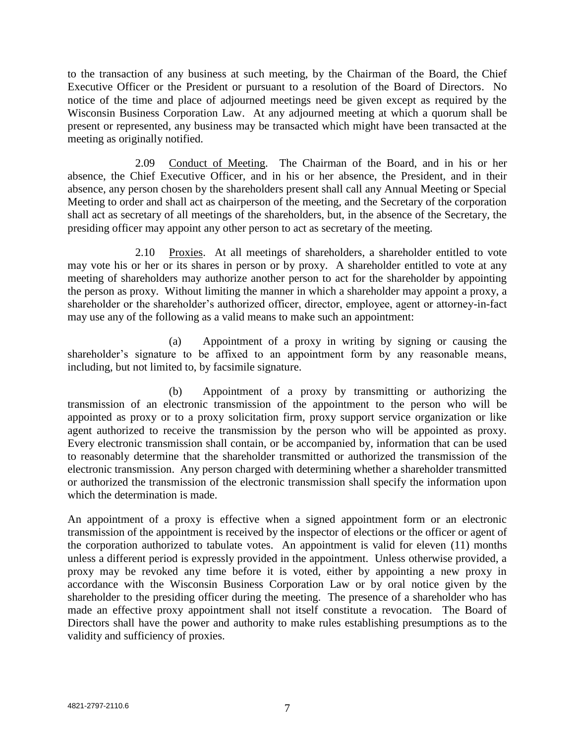to the transaction of any business at such meeting, by the Chairman of the Board, the Chief Executive Officer or the President or pursuant to a resolution of the Board of Directors. No notice of the time and place of adjourned meetings need be given except as required by the Wisconsin Business Corporation Law. At any adjourned meeting at which a quorum shall be present or represented, any business may be transacted which might have been transacted at the meeting as originally notified.

2.09 Conduct of Meeting. The Chairman of the Board, and in his or her absence, the Chief Executive Officer, and in his or her absence, the President, and in their absence, any person chosen by the shareholders present shall call any Annual Meeting or Special Meeting to order and shall act as chairperson of the meeting, and the Secretary of the corporation shall act as secretary of all meetings of the shareholders, but, in the absence of the Secretary, the presiding officer may appoint any other person to act as secretary of the meeting.

2.10 Proxies. At all meetings of shareholders, a shareholder entitled to vote may vote his or her or its shares in person or by proxy. A shareholder entitled to vote at any meeting of shareholders may authorize another person to act for the shareholder by appointing the person as proxy. Without limiting the manner in which a shareholder may appoint a proxy, a shareholder or the shareholder's authorized officer, director, employee, agent or attorney-in-fact may use any of the following as a valid means to make such an appointment:

(a) Appointment of a proxy in writing by signing or causing the shareholder's signature to be affixed to an appointment form by any reasonable means, including, but not limited to, by facsimile signature.

(b) Appointment of a proxy by transmitting or authorizing the transmission of an electronic transmission of the appointment to the person who will be appointed as proxy or to a proxy solicitation firm, proxy support service organization or like agent authorized to receive the transmission by the person who will be appointed as proxy. Every electronic transmission shall contain, or be accompanied by, information that can be used to reasonably determine that the shareholder transmitted or authorized the transmission of the electronic transmission. Any person charged with determining whether a shareholder transmitted or authorized the transmission of the electronic transmission shall specify the information upon which the determination is made.

An appointment of a proxy is effective when a signed appointment form or an electronic transmission of the appointment is received by the inspector of elections or the officer or agent of the corporation authorized to tabulate votes. An appointment is valid for eleven (11) months unless a different period is expressly provided in the appointment. Unless otherwise provided, a proxy may be revoked any time before it is voted, either by appointing a new proxy in accordance with the Wisconsin Business Corporation Law or by oral notice given by the shareholder to the presiding officer during the meeting. The presence of a shareholder who has made an effective proxy appointment shall not itself constitute a revocation. The Board of Directors shall have the power and authority to make rules establishing presumptions as to the validity and sufficiency of proxies.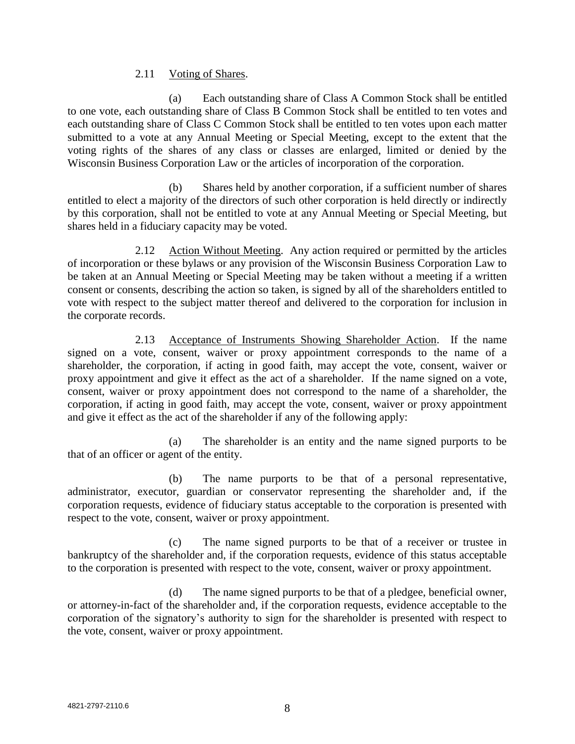### 2.11 Voting of Shares.

(a) Each outstanding share of Class A Common Stock shall be entitled to one vote, each outstanding share of Class B Common Stock shall be entitled to ten votes and each outstanding share of Class C Common Stock shall be entitled to ten votes upon each matter submitted to a vote at any Annual Meeting or Special Meeting, except to the extent that the voting rights of the shares of any class or classes are enlarged, limited or denied by the Wisconsin Business Corporation Law or the articles of incorporation of the corporation.

(b) Shares held by another corporation, if a sufficient number of shares entitled to elect a majority of the directors of such other corporation is held directly or indirectly by this corporation, shall not be entitled to vote at any Annual Meeting or Special Meeting, but shares held in a fiduciary capacity may be voted.

2.12 Action Without Meeting. Any action required or permitted by the articles of incorporation or these bylaws or any provision of the Wisconsin Business Corporation Law to be taken at an Annual Meeting or Special Meeting may be taken without a meeting if a written consent or consents, describing the action so taken, is signed by all of the shareholders entitled to vote with respect to the subject matter thereof and delivered to the corporation for inclusion in the corporate records.

2.13 Acceptance of Instruments Showing Shareholder Action. If the name signed on a vote, consent, waiver or proxy appointment corresponds to the name of a shareholder, the corporation, if acting in good faith, may accept the vote, consent, waiver or proxy appointment and give it effect as the act of a shareholder. If the name signed on a vote, consent, waiver or proxy appointment does not correspond to the name of a shareholder, the corporation, if acting in good faith, may accept the vote, consent, waiver or proxy appointment and give it effect as the act of the shareholder if any of the following apply:

(a) The shareholder is an entity and the name signed purports to be that of an officer or agent of the entity.

(b) The name purports to be that of a personal representative, administrator, executor, guardian or conservator representing the shareholder and, if the corporation requests, evidence of fiduciary status acceptable to the corporation is presented with respect to the vote, consent, waiver or proxy appointment.

(c) The name signed purports to be that of a receiver or trustee in bankruptcy of the shareholder and, if the corporation requests, evidence of this status acceptable to the corporation is presented with respect to the vote, consent, waiver or proxy appointment.

(d) The name signed purports to be that of a pledgee, beneficial owner, or attorney-in-fact of the shareholder and, if the corporation requests, evidence acceptable to the corporation of the signatory's authority to sign for the shareholder is presented with respect to the vote, consent, waiver or proxy appointment.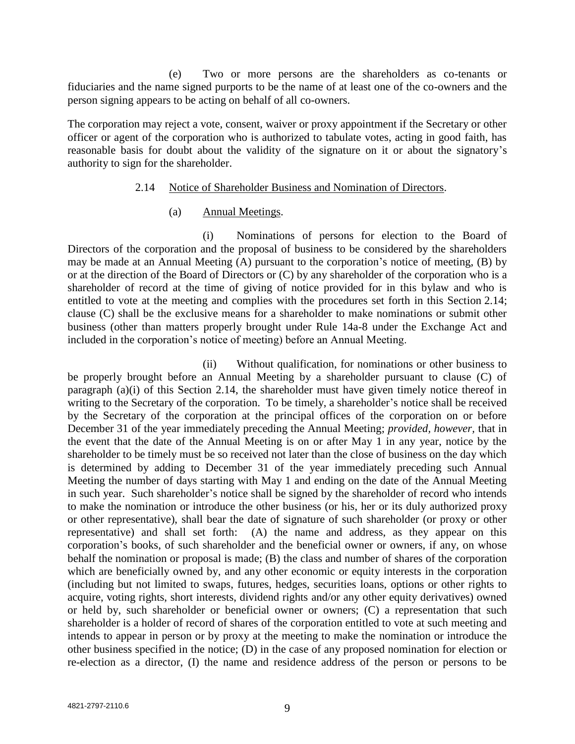(e) Two or more persons are the shareholders as co-tenants or fiduciaries and the name signed purports to be the name of at least one of the co-owners and the person signing appears to be acting on behalf of all co-owners.

The corporation may reject a vote, consent, waiver or proxy appointment if the Secretary or other officer or agent of the corporation who is authorized to tabulate votes, acting in good faith, has reasonable basis for doubt about the validity of the signature on it or about the signatory's authority to sign for the shareholder.

#### 2.14 Notice of Shareholder Business and Nomination of Directors.

#### (a) Annual Meetings.

(i) Nominations of persons for election to the Board of Directors of the corporation and the proposal of business to be considered by the shareholders may be made at an Annual Meeting (A) pursuant to the corporation's notice of meeting, (B) by or at the direction of the Board of Directors or (C) by any shareholder of the corporation who is a shareholder of record at the time of giving of notice provided for in this bylaw and who is entitled to vote at the meeting and complies with the procedures set forth in this Section 2.14; clause (C) shall be the exclusive means for a shareholder to make nominations or submit other business (other than matters properly brought under Rule 14a-8 under the Exchange Act and included in the corporation's notice of meeting) before an Annual Meeting.

(ii) Without qualification, for nominations or other business to be properly brought before an Annual Meeting by a shareholder pursuant to clause (C) of paragraph (a)(i) of this Section 2.14, the shareholder must have given timely notice thereof in writing to the Secretary of the corporation. To be timely, a shareholder's notice shall be received by the Secretary of the corporation at the principal offices of the corporation on or before December 31 of the year immediately preceding the Annual Meeting; *provided, however,* that in the event that the date of the Annual Meeting is on or after May 1 in any year, notice by the shareholder to be timely must be so received not later than the close of business on the day which is determined by adding to December 31 of the year immediately preceding such Annual Meeting the number of days starting with May 1 and ending on the date of the Annual Meeting in such year. Such shareholder's notice shall be signed by the shareholder of record who intends to make the nomination or introduce the other business (or his, her or its duly authorized proxy or other representative), shall bear the date of signature of such shareholder (or proxy or other representative) and shall set forth: (A) the name and address, as they appear on this corporation's books, of such shareholder and the beneficial owner or owners, if any, on whose behalf the nomination or proposal is made; (B) the class and number of shares of the corporation which are beneficially owned by, and any other economic or equity interests in the corporation (including but not limited to swaps, futures, hedges, securities loans, options or other rights to acquire, voting rights, short interests, dividend rights and/or any other equity derivatives) owned or held by, such shareholder or beneficial owner or owners; (C) a representation that such shareholder is a holder of record of shares of the corporation entitled to vote at such meeting and intends to appear in person or by proxy at the meeting to make the nomination or introduce the other business specified in the notice; (D) in the case of any proposed nomination for election or re-election as a director, (I) the name and residence address of the person or persons to be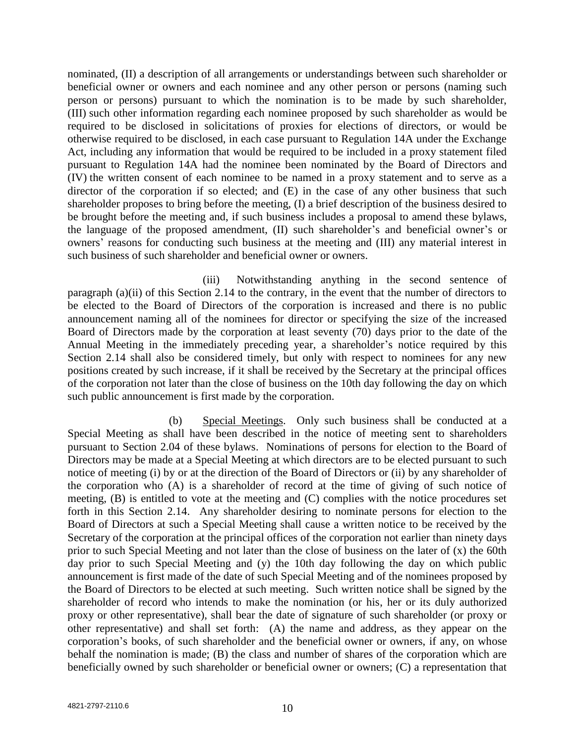nominated, (II) a description of all arrangements or understandings between such shareholder or beneficial owner or owners and each nominee and any other person or persons (naming such person or persons) pursuant to which the nomination is to be made by such shareholder, (III) such other information regarding each nominee proposed by such shareholder as would be required to be disclosed in solicitations of proxies for elections of directors, or would be otherwise required to be disclosed, in each case pursuant to Regulation 14A under the Exchange Act, including any information that would be required to be included in a proxy statement filed pursuant to Regulation 14A had the nominee been nominated by the Board of Directors and (IV) the written consent of each nominee to be named in a proxy statement and to serve as a director of the corporation if so elected; and  $(E)$  in the case of any other business that such shareholder proposes to bring before the meeting, (I) a brief description of the business desired to be brought before the meeting and, if such business includes a proposal to amend these bylaws, the language of the proposed amendment, (II) such shareholder's and beneficial owner's or owners' reasons for conducting such business at the meeting and (III) any material interest in such business of such shareholder and beneficial owner or owners.

(iii) Notwithstanding anything in the second sentence of paragraph (a)(ii) of this Section 2.14 to the contrary, in the event that the number of directors to be elected to the Board of Directors of the corporation is increased and there is no public announcement naming all of the nominees for director or specifying the size of the increased Board of Directors made by the corporation at least seventy (70) days prior to the date of the Annual Meeting in the immediately preceding year, a shareholder's notice required by this Section 2.14 shall also be considered timely, but only with respect to nominees for any new positions created by such increase, if it shall be received by the Secretary at the principal offices of the corporation not later than the close of business on the 10th day following the day on which such public announcement is first made by the corporation.

(b) Special Meetings. Only such business shall be conducted at a Special Meeting as shall have been described in the notice of meeting sent to shareholders pursuant to Section 2.04 of these bylaws. Nominations of persons for election to the Board of Directors may be made at a Special Meeting at which directors are to be elected pursuant to such notice of meeting (i) by or at the direction of the Board of Directors or (ii) by any shareholder of the corporation who (A) is a shareholder of record at the time of giving of such notice of meeting, (B) is entitled to vote at the meeting and (C) complies with the notice procedures set forth in this Section 2.14. Any shareholder desiring to nominate persons for election to the Board of Directors at such a Special Meeting shall cause a written notice to be received by the Secretary of the corporation at the principal offices of the corporation not earlier than ninety days prior to such Special Meeting and not later than the close of business on the later of (x) the 60th day prior to such Special Meeting and (y) the 10th day following the day on which public announcement is first made of the date of such Special Meeting and of the nominees proposed by the Board of Directors to be elected at such meeting. Such written notice shall be signed by the shareholder of record who intends to make the nomination (or his, her or its duly authorized proxy or other representative), shall bear the date of signature of such shareholder (or proxy or other representative) and shall set forth: (A) the name and address, as they appear on the corporation's books, of such shareholder and the beneficial owner or owners, if any, on whose behalf the nomination is made; (B) the class and number of shares of the corporation which are beneficially owned by such shareholder or beneficial owner or owners; (C) a representation that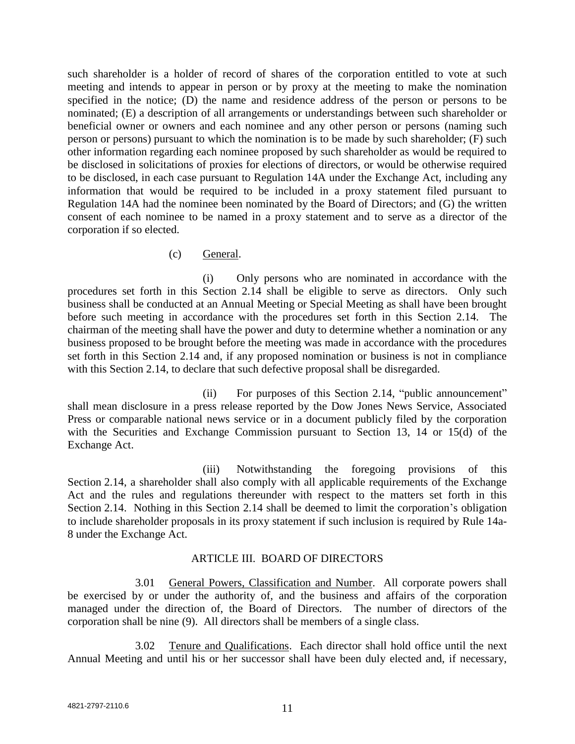such shareholder is a holder of record of shares of the corporation entitled to vote at such meeting and intends to appear in person or by proxy at the meeting to make the nomination specified in the notice; (D) the name and residence address of the person or persons to be nominated; (E) a description of all arrangements or understandings between such shareholder or beneficial owner or owners and each nominee and any other person or persons (naming such person or persons) pursuant to which the nomination is to be made by such shareholder; (F) such other information regarding each nominee proposed by such shareholder as would be required to be disclosed in solicitations of proxies for elections of directors, or would be otherwise required to be disclosed, in each case pursuant to Regulation 14A under the Exchange Act, including any information that would be required to be included in a proxy statement filed pursuant to Regulation 14A had the nominee been nominated by the Board of Directors; and (G) the written consent of each nominee to be named in a proxy statement and to serve as a director of the corporation if so elected.

## (c) General.

(i) Only persons who are nominated in accordance with the procedures set forth in this Section 2.14 shall be eligible to serve as directors. Only such business shall be conducted at an Annual Meeting or Special Meeting as shall have been brought before such meeting in accordance with the procedures set forth in this Section 2.14. The chairman of the meeting shall have the power and duty to determine whether a nomination or any business proposed to be brought before the meeting was made in accordance with the procedures set forth in this Section 2.14 and, if any proposed nomination or business is not in compliance with this Section 2.14, to declare that such defective proposal shall be disregarded.

(ii) For purposes of this Section 2.14, "public announcement" shall mean disclosure in a press release reported by the Dow Jones News Service, Associated Press or comparable national news service or in a document publicly filed by the corporation with the Securities and Exchange Commission pursuant to Section 13, 14 or 15(d) of the Exchange Act.

(iii) Notwithstanding the foregoing provisions of this Section 2.14, a shareholder shall also comply with all applicable requirements of the Exchange Act and the rules and regulations thereunder with respect to the matters set forth in this Section 2.14. Nothing in this Section 2.14 shall be deemed to limit the corporation's obligation to include shareholder proposals in its proxy statement if such inclusion is required by Rule 14a-8 under the Exchange Act.

## ARTICLE III. BOARD OF DIRECTORS

3.01 General Powers, Classification and Number. All corporate powers shall be exercised by or under the authority of, and the business and affairs of the corporation managed under the direction of, the Board of Directors. The number of directors of the corporation shall be nine (9). All directors shall be members of a single class.

3.02 Tenure and Qualifications. Each director shall hold office until the next Annual Meeting and until his or her successor shall have been duly elected and, if necessary,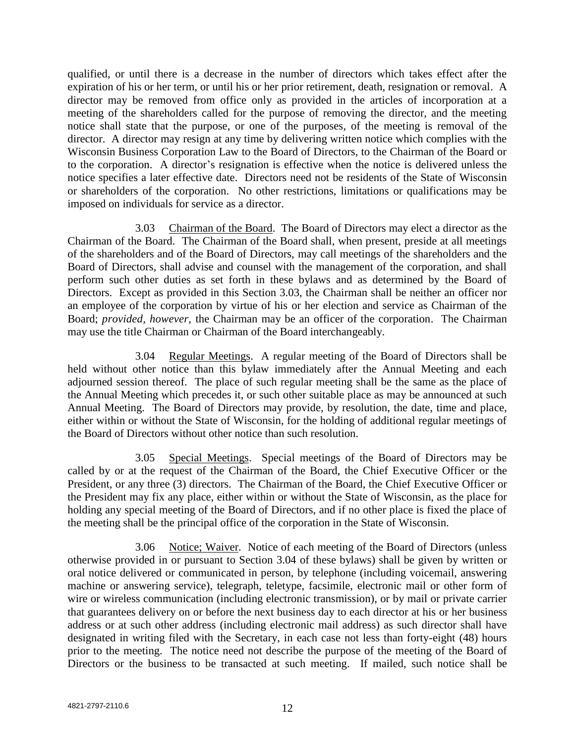qualified, or until there is a decrease in the number of directors which takes effect after the expiration of his or her term, or until his or her prior retirement, death, resignation or removal. A director may be removed from office only as provided in the articles of incorporation at a meeting of the shareholders called for the purpose of removing the director, and the meeting notice shall state that the purpose, or one of the purposes, of the meeting is removal of the director. A director may resign at any time by delivering written notice which complies with the Wisconsin Business Corporation Law to the Board of Directors, to the Chairman of the Board or to the corporation. A director's resignation is effective when the notice is delivered unless the notice specifies a later effective date. Directors need not be residents of the State of Wisconsin or shareholders of the corporation. No other restrictions, limitations or qualifications may be imposed on individuals for service as a director.

3.03 Chairman of the Board. The Board of Directors may elect a director as the Chairman of the Board. The Chairman of the Board shall, when present, preside at all meetings of the shareholders and of the Board of Directors, may call meetings of the shareholders and the Board of Directors, shall advise and counsel with the management of the corporation, and shall perform such other duties as set forth in these bylaws and as determined by the Board of Directors. Except as provided in this Section 3.03, the Chairman shall be neither an officer nor an employee of the corporation by virtue of his or her election and service as Chairman of the Board; *provided, however,* the Chairman may be an officer of the corporation. The Chairman may use the title Chairman or Chairman of the Board interchangeably.

3.04 Regular Meetings. A regular meeting of the Board of Directors shall be held without other notice than this bylaw immediately after the Annual Meeting and each adjourned session thereof. The place of such regular meeting shall be the same as the place of the Annual Meeting which precedes it, or such other suitable place as may be announced at such Annual Meeting. The Board of Directors may provide, by resolution, the date, time and place, either within or without the State of Wisconsin, for the holding of additional regular meetings of the Board of Directors without other notice than such resolution.

3.05 Special Meetings. Special meetings of the Board of Directors may be called by or at the request of the Chairman of the Board, the Chief Executive Officer or the President, or any three (3) directors. The Chairman of the Board, the Chief Executive Officer or the President may fix any place, either within or without the State of Wisconsin, as the place for holding any special meeting of the Board of Directors, and if no other place is fixed the place of the meeting shall be the principal office of the corporation in the State of Wisconsin.

3.06 Notice; Waiver. Notice of each meeting of the Board of Directors (unless otherwise provided in or pursuant to Section 3.04 of these bylaws) shall be given by written or oral notice delivered or communicated in person, by telephone (including voicemail, answering machine or answering service), telegraph, teletype, facsimile, electronic mail or other form of wire or wireless communication (including electronic transmission), or by mail or private carrier that guarantees delivery on or before the next business day to each director at his or her business address or at such other address (including electronic mail address) as such director shall have designated in writing filed with the Secretary, in each case not less than forty-eight (48) hours prior to the meeting. The notice need not describe the purpose of the meeting of the Board of Directors or the business to be transacted at such meeting. If mailed, such notice shall be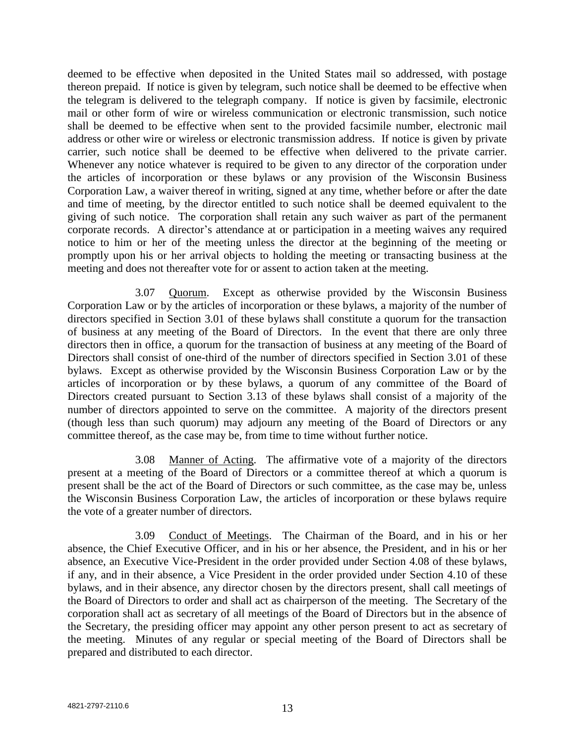deemed to be effective when deposited in the United States mail so addressed, with postage thereon prepaid. If notice is given by telegram, such notice shall be deemed to be effective when the telegram is delivered to the telegraph company. If notice is given by facsimile, electronic mail or other form of wire or wireless communication or electronic transmission, such notice shall be deemed to be effective when sent to the provided facsimile number, electronic mail address or other wire or wireless or electronic transmission address. If notice is given by private carrier, such notice shall be deemed to be effective when delivered to the private carrier. Whenever any notice whatever is required to be given to any director of the corporation under the articles of incorporation or these bylaws or any provision of the Wisconsin Business Corporation Law, a waiver thereof in writing, signed at any time, whether before or after the date and time of meeting, by the director entitled to such notice shall be deemed equivalent to the giving of such notice. The corporation shall retain any such waiver as part of the permanent corporate records. A director's attendance at or participation in a meeting waives any required notice to him or her of the meeting unless the director at the beginning of the meeting or promptly upon his or her arrival objects to holding the meeting or transacting business at the meeting and does not thereafter vote for or assent to action taken at the meeting.

3.07 Quorum. Except as otherwise provided by the Wisconsin Business Corporation Law or by the articles of incorporation or these bylaws, a majority of the number of directors specified in Section 3.01 of these bylaws shall constitute a quorum for the transaction of business at any meeting of the Board of Directors. In the event that there are only three directors then in office, a quorum for the transaction of business at any meeting of the Board of Directors shall consist of one-third of the number of directors specified in Section 3.01 of these bylaws. Except as otherwise provided by the Wisconsin Business Corporation Law or by the articles of incorporation or by these bylaws, a quorum of any committee of the Board of Directors created pursuant to Section 3.13 of these bylaws shall consist of a majority of the number of directors appointed to serve on the committee. A majority of the directors present (though less than such quorum) may adjourn any meeting of the Board of Directors or any committee thereof, as the case may be, from time to time without further notice.

3.08 Manner of Acting. The affirmative vote of a majority of the directors present at a meeting of the Board of Directors or a committee thereof at which a quorum is present shall be the act of the Board of Directors or such committee, as the case may be, unless the Wisconsin Business Corporation Law, the articles of incorporation or these bylaws require the vote of a greater number of directors.

3.09 Conduct of Meetings. The Chairman of the Board, and in his or her absence, the Chief Executive Officer, and in his or her absence, the President, and in his or her absence, an Executive Vice-President in the order provided under Section 4.08 of these bylaws, if any, and in their absence, a Vice President in the order provided under Section 4.10 of these bylaws, and in their absence, any director chosen by the directors present, shall call meetings of the Board of Directors to order and shall act as chairperson of the meeting. The Secretary of the corporation shall act as secretary of all meetings of the Board of Directors but in the absence of the Secretary, the presiding officer may appoint any other person present to act as secretary of the meeting. Minutes of any regular or special meeting of the Board of Directors shall be prepared and distributed to each director.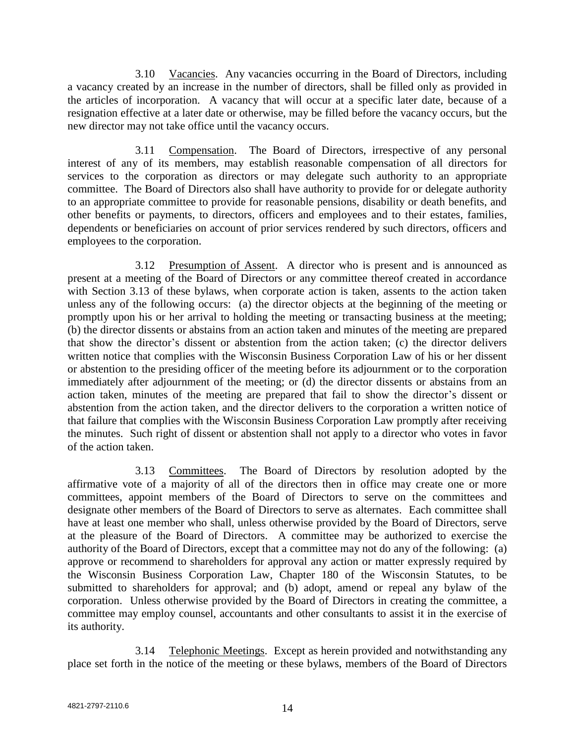3.10 Vacancies. Any vacancies occurring in the Board of Directors, including a vacancy created by an increase in the number of directors, shall be filled only as provided in the articles of incorporation. A vacancy that will occur at a specific later date, because of a resignation effective at a later date or otherwise, may be filled before the vacancy occurs, but the new director may not take office until the vacancy occurs.

3.11 Compensation. The Board of Directors, irrespective of any personal interest of any of its members, may establish reasonable compensation of all directors for services to the corporation as directors or may delegate such authority to an appropriate committee. The Board of Directors also shall have authority to provide for or delegate authority to an appropriate committee to provide for reasonable pensions, disability or death benefits, and other benefits or payments, to directors, officers and employees and to their estates, families, dependents or beneficiaries on account of prior services rendered by such directors, officers and employees to the corporation.

3.12 Presumption of Assent. A director who is present and is announced as present at a meeting of the Board of Directors or any committee thereof created in accordance with Section 3.13 of these bylaws, when corporate action is taken, assents to the action taken unless any of the following occurs: (a) the director objects at the beginning of the meeting or promptly upon his or her arrival to holding the meeting or transacting business at the meeting; (b) the director dissents or abstains from an action taken and minutes of the meeting are prepared that show the director's dissent or abstention from the action taken; (c) the director delivers written notice that complies with the Wisconsin Business Corporation Law of his or her dissent or abstention to the presiding officer of the meeting before its adjournment or to the corporation immediately after adjournment of the meeting; or (d) the director dissents or abstains from an action taken, minutes of the meeting are prepared that fail to show the director's dissent or abstention from the action taken, and the director delivers to the corporation a written notice of that failure that complies with the Wisconsin Business Corporation Law promptly after receiving the minutes. Such right of dissent or abstention shall not apply to a director who votes in favor of the action taken.

3.13 Committees. The Board of Directors by resolution adopted by the affirmative vote of a majority of all of the directors then in office may create one or more committees, appoint members of the Board of Directors to serve on the committees and designate other members of the Board of Directors to serve as alternates. Each committee shall have at least one member who shall, unless otherwise provided by the Board of Directors, serve at the pleasure of the Board of Directors. A committee may be authorized to exercise the authority of the Board of Directors, except that a committee may not do any of the following: (a) approve or recommend to shareholders for approval any action or matter expressly required by the Wisconsin Business Corporation Law, Chapter 180 of the Wisconsin Statutes, to be submitted to shareholders for approval; and (b) adopt, amend or repeal any bylaw of the corporation. Unless otherwise provided by the Board of Directors in creating the committee, a committee may employ counsel, accountants and other consultants to assist it in the exercise of its authority.

3.14 Telephonic Meetings. Except as herein provided and notwithstanding any place set forth in the notice of the meeting or these bylaws, members of the Board of Directors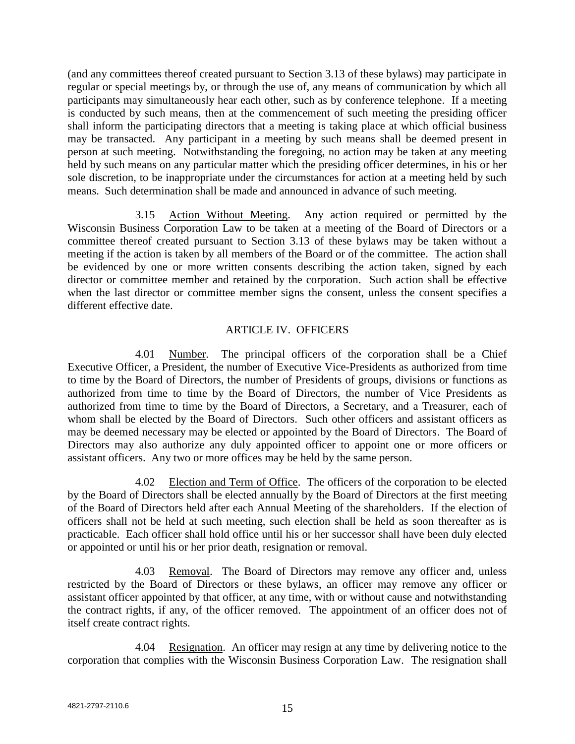(and any committees thereof created pursuant to Section 3.13 of these bylaws) may participate in regular or special meetings by, or through the use of, any means of communication by which all participants may simultaneously hear each other, such as by conference telephone. If a meeting is conducted by such means, then at the commencement of such meeting the presiding officer shall inform the participating directors that a meeting is taking place at which official business may be transacted. Any participant in a meeting by such means shall be deemed present in person at such meeting. Notwithstanding the foregoing, no action may be taken at any meeting held by such means on any particular matter which the presiding officer determines, in his or her sole discretion, to be inappropriate under the circumstances for action at a meeting held by such means. Such determination shall be made and announced in advance of such meeting.

3.15 Action Without Meeting. Any action required or permitted by the Wisconsin Business Corporation Law to be taken at a meeting of the Board of Directors or a committee thereof created pursuant to Section 3.13 of these bylaws may be taken without a meeting if the action is taken by all members of the Board or of the committee. The action shall be evidenced by one or more written consents describing the action taken, signed by each director or committee member and retained by the corporation. Such action shall be effective when the last director or committee member signs the consent, unless the consent specifies a different effective date.

## ARTICLE IV. OFFICERS

4.01 Number. The principal officers of the corporation shall be a Chief Executive Officer, a President, the number of Executive Vice-Presidents as authorized from time to time by the Board of Directors, the number of Presidents of groups, divisions or functions as authorized from time to time by the Board of Directors, the number of Vice Presidents as authorized from time to time by the Board of Directors, a Secretary, and a Treasurer, each of whom shall be elected by the Board of Directors. Such other officers and assistant officers as may be deemed necessary may be elected or appointed by the Board of Directors. The Board of Directors may also authorize any duly appointed officer to appoint one or more officers or assistant officers. Any two or more offices may be held by the same person.

4.02 Election and Term of Office. The officers of the corporation to be elected by the Board of Directors shall be elected annually by the Board of Directors at the first meeting of the Board of Directors held after each Annual Meeting of the shareholders. If the election of officers shall not be held at such meeting, such election shall be held as soon thereafter as is practicable. Each officer shall hold office until his or her successor shall have been duly elected or appointed or until his or her prior death, resignation or removal.

4.03 Removal. The Board of Directors may remove any officer and, unless restricted by the Board of Directors or these bylaws, an officer may remove any officer or assistant officer appointed by that officer, at any time, with or without cause and notwithstanding the contract rights, if any, of the officer removed. The appointment of an officer does not of itself create contract rights.

4.04 Resignation. An officer may resign at any time by delivering notice to the corporation that complies with the Wisconsin Business Corporation Law. The resignation shall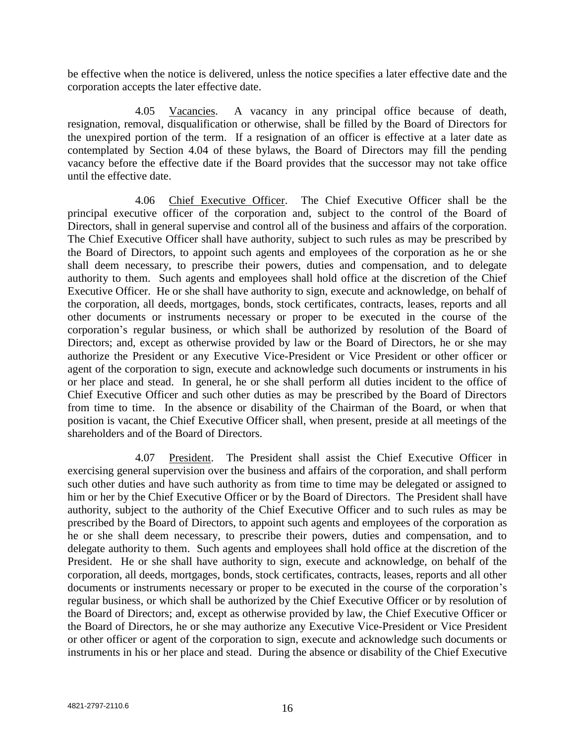be effective when the notice is delivered, unless the notice specifies a later effective date and the corporation accepts the later effective date.

4.05 Vacancies. A vacancy in any principal office because of death, resignation, removal, disqualification or otherwise, shall be filled by the Board of Directors for the unexpired portion of the term. If a resignation of an officer is effective at a later date as contemplated by Section 4.04 of these bylaws, the Board of Directors may fill the pending vacancy before the effective date if the Board provides that the successor may not take office until the effective date.

4.06 Chief Executive Officer. The Chief Executive Officer shall be the principal executive officer of the corporation and, subject to the control of the Board of Directors, shall in general supervise and control all of the business and affairs of the corporation. The Chief Executive Officer shall have authority, subject to such rules as may be prescribed by the Board of Directors, to appoint such agents and employees of the corporation as he or she shall deem necessary, to prescribe their powers, duties and compensation, and to delegate authority to them. Such agents and employees shall hold office at the discretion of the Chief Executive Officer. He or she shall have authority to sign, execute and acknowledge, on behalf of the corporation, all deeds, mortgages, bonds, stock certificates, contracts, leases, reports and all other documents or instruments necessary or proper to be executed in the course of the corporation's regular business, or which shall be authorized by resolution of the Board of Directors; and, except as otherwise provided by law or the Board of Directors, he or she may authorize the President or any Executive Vice-President or Vice President or other officer or agent of the corporation to sign, execute and acknowledge such documents or instruments in his or her place and stead. In general, he or she shall perform all duties incident to the office of Chief Executive Officer and such other duties as may be prescribed by the Board of Directors from time to time. In the absence or disability of the Chairman of the Board, or when that position is vacant, the Chief Executive Officer shall, when present, preside at all meetings of the shareholders and of the Board of Directors.

4.07 President. The President shall assist the Chief Executive Officer in exercising general supervision over the business and affairs of the corporation, and shall perform such other duties and have such authority as from time to time may be delegated or assigned to him or her by the Chief Executive Officer or by the Board of Directors. The President shall have authority, subject to the authority of the Chief Executive Officer and to such rules as may be prescribed by the Board of Directors, to appoint such agents and employees of the corporation as he or she shall deem necessary, to prescribe their powers, duties and compensation, and to delegate authority to them. Such agents and employees shall hold office at the discretion of the President. He or she shall have authority to sign, execute and acknowledge, on behalf of the corporation, all deeds, mortgages, bonds, stock certificates, contracts, leases, reports and all other documents or instruments necessary or proper to be executed in the course of the corporation's regular business, or which shall be authorized by the Chief Executive Officer or by resolution of the Board of Directors; and, except as otherwise provided by law, the Chief Executive Officer or the Board of Directors, he or she may authorize any Executive Vice-President or Vice President or other officer or agent of the corporation to sign, execute and acknowledge such documents or instruments in his or her place and stead. During the absence or disability of the Chief Executive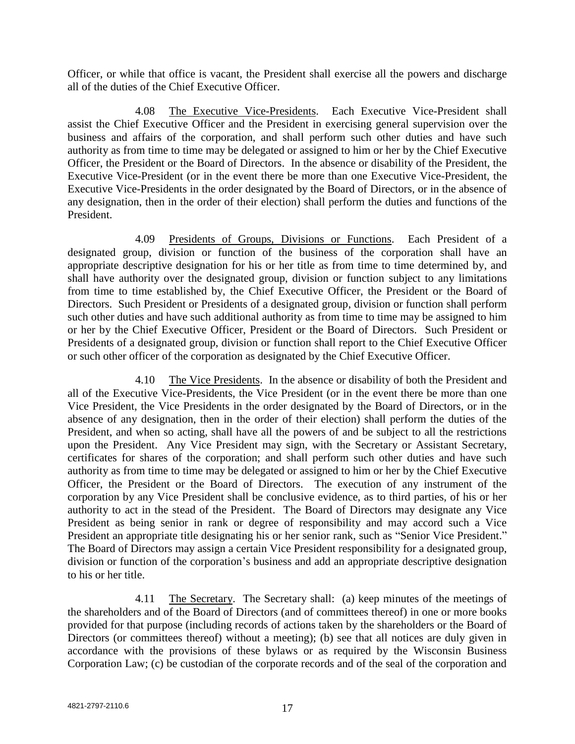Officer, or while that office is vacant, the President shall exercise all the powers and discharge all of the duties of the Chief Executive Officer.

4.08 The Executive Vice-Presidents. Each Executive Vice-President shall assist the Chief Executive Officer and the President in exercising general supervision over the business and affairs of the corporation, and shall perform such other duties and have such authority as from time to time may be delegated or assigned to him or her by the Chief Executive Officer, the President or the Board of Directors. In the absence or disability of the President, the Executive Vice-President (or in the event there be more than one Executive Vice-President, the Executive Vice-Presidents in the order designated by the Board of Directors, or in the absence of any designation, then in the order of their election) shall perform the duties and functions of the President.

4.09 Presidents of Groups, Divisions or Functions. Each President of a designated group, division or function of the business of the corporation shall have an appropriate descriptive designation for his or her title as from time to time determined by, and shall have authority over the designated group, division or function subject to any limitations from time to time established by, the Chief Executive Officer, the President or the Board of Directors. Such President or Presidents of a designated group, division or function shall perform such other duties and have such additional authority as from time to time may be assigned to him or her by the Chief Executive Officer, President or the Board of Directors. Such President or Presidents of a designated group, division or function shall report to the Chief Executive Officer or such other officer of the corporation as designated by the Chief Executive Officer.

4.10 The Vice Presidents. In the absence or disability of both the President and all of the Executive Vice-Presidents, the Vice President (or in the event there be more than one Vice President, the Vice Presidents in the order designated by the Board of Directors, or in the absence of any designation, then in the order of their election) shall perform the duties of the President, and when so acting, shall have all the powers of and be subject to all the restrictions upon the President. Any Vice President may sign, with the Secretary or Assistant Secretary, certificates for shares of the corporation; and shall perform such other duties and have such authority as from time to time may be delegated or assigned to him or her by the Chief Executive Officer, the President or the Board of Directors. The execution of any instrument of the corporation by any Vice President shall be conclusive evidence, as to third parties, of his or her authority to act in the stead of the President. The Board of Directors may designate any Vice President as being senior in rank or degree of responsibility and may accord such a Vice President an appropriate title designating his or her senior rank, such as "Senior Vice President." The Board of Directors may assign a certain Vice President responsibility for a designated group, division or function of the corporation's business and add an appropriate descriptive designation to his or her title.

4.11 The Secretary. The Secretary shall: (a) keep minutes of the meetings of the shareholders and of the Board of Directors (and of committees thereof) in one or more books provided for that purpose (including records of actions taken by the shareholders or the Board of Directors (or committees thereof) without a meeting); (b) see that all notices are duly given in accordance with the provisions of these bylaws or as required by the Wisconsin Business Corporation Law; (c) be custodian of the corporate records and of the seal of the corporation and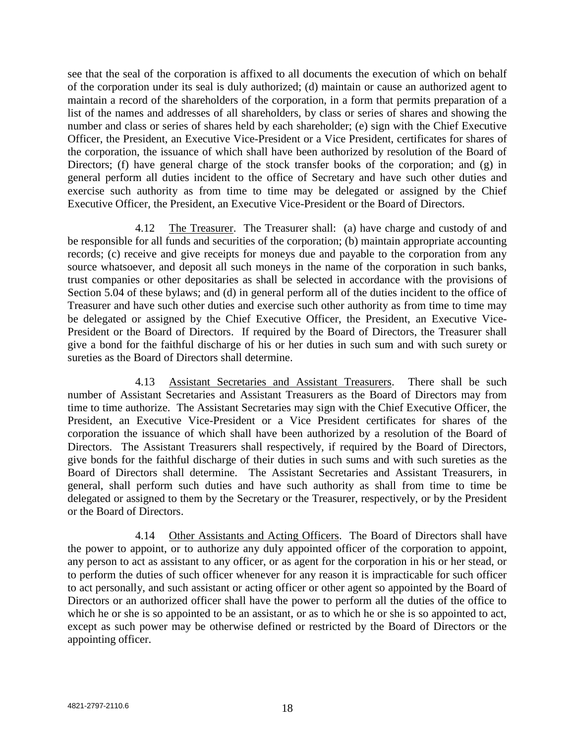see that the seal of the corporation is affixed to all documents the execution of which on behalf of the corporation under its seal is duly authorized; (d) maintain or cause an authorized agent to maintain a record of the shareholders of the corporation, in a form that permits preparation of a list of the names and addresses of all shareholders, by class or series of shares and showing the number and class or series of shares held by each shareholder; (e) sign with the Chief Executive Officer, the President, an Executive Vice-President or a Vice President, certificates for shares of the corporation, the issuance of which shall have been authorized by resolution of the Board of Directors; (f) have general charge of the stock transfer books of the corporation; and (g) in general perform all duties incident to the office of Secretary and have such other duties and exercise such authority as from time to time may be delegated or assigned by the Chief Executive Officer, the President, an Executive Vice-President or the Board of Directors.

4.12 The Treasurer. The Treasurer shall: (a) have charge and custody of and be responsible for all funds and securities of the corporation; (b) maintain appropriate accounting records; (c) receive and give receipts for moneys due and payable to the corporation from any source whatsoever, and deposit all such moneys in the name of the corporation in such banks, trust companies or other depositaries as shall be selected in accordance with the provisions of Section 5.04 of these bylaws; and (d) in general perform all of the duties incident to the office of Treasurer and have such other duties and exercise such other authority as from time to time may be delegated or assigned by the Chief Executive Officer, the President, an Executive Vice-President or the Board of Directors. If required by the Board of Directors, the Treasurer shall give a bond for the faithful discharge of his or her duties in such sum and with such surety or sureties as the Board of Directors shall determine.

4.13 Assistant Secretaries and Assistant Treasurers. There shall be such number of Assistant Secretaries and Assistant Treasurers as the Board of Directors may from time to time authorize. The Assistant Secretaries may sign with the Chief Executive Officer, the President, an Executive Vice-President or a Vice President certificates for shares of the corporation the issuance of which shall have been authorized by a resolution of the Board of Directors. The Assistant Treasurers shall respectively, if required by the Board of Directors, give bonds for the faithful discharge of their duties in such sums and with such sureties as the Board of Directors shall determine. The Assistant Secretaries and Assistant Treasurers, in general, shall perform such duties and have such authority as shall from time to time be delegated or assigned to them by the Secretary or the Treasurer, respectively, or by the President or the Board of Directors.

4.14 Other Assistants and Acting Officers. The Board of Directors shall have the power to appoint, or to authorize any duly appointed officer of the corporation to appoint, any person to act as assistant to any officer, or as agent for the corporation in his or her stead, or to perform the duties of such officer whenever for any reason it is impracticable for such officer to act personally, and such assistant or acting officer or other agent so appointed by the Board of Directors or an authorized officer shall have the power to perform all the duties of the office to which he or she is so appointed to be an assistant, or as to which he or she is so appointed to act, except as such power may be otherwise defined or restricted by the Board of Directors or the appointing officer.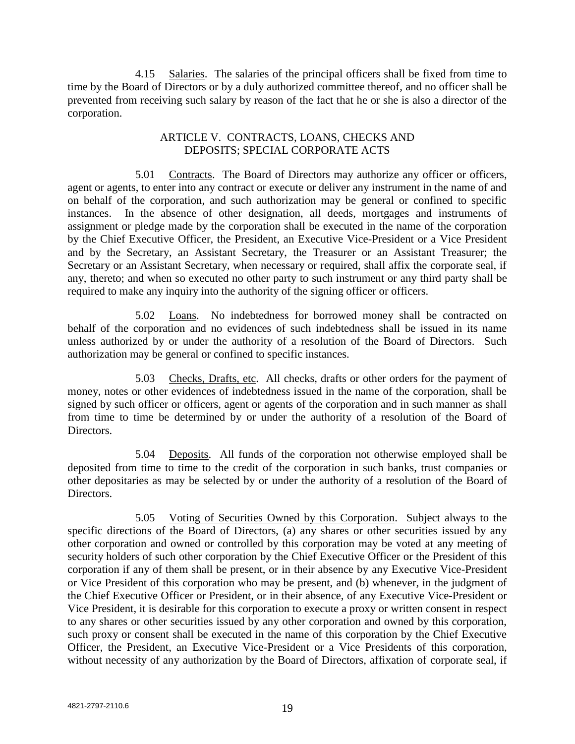4.15 Salaries. The salaries of the principal officers shall be fixed from time to time by the Board of Directors or by a duly authorized committee thereof, and no officer shall be prevented from receiving such salary by reason of the fact that he or she is also a director of the corporation.

## ARTICLE V. CONTRACTS, LOANS, CHECKS AND DEPOSITS; SPECIAL CORPORATE ACTS

5.01 Contracts. The Board of Directors may authorize any officer or officers, agent or agents, to enter into any contract or execute or deliver any instrument in the name of and on behalf of the corporation, and such authorization may be general or confined to specific instances. In the absence of other designation, all deeds, mortgages and instruments of assignment or pledge made by the corporation shall be executed in the name of the corporation by the Chief Executive Officer, the President, an Executive Vice-President or a Vice President and by the Secretary, an Assistant Secretary, the Treasurer or an Assistant Treasurer; the Secretary or an Assistant Secretary, when necessary or required, shall affix the corporate seal, if any, thereto; and when so executed no other party to such instrument or any third party shall be required to make any inquiry into the authority of the signing officer or officers.

5.02 Loans. No indebtedness for borrowed money shall be contracted on behalf of the corporation and no evidences of such indebtedness shall be issued in its name unless authorized by or under the authority of a resolution of the Board of Directors. Such authorization may be general or confined to specific instances.

5.03 Checks, Drafts, etc. All checks, drafts or other orders for the payment of money, notes or other evidences of indebtedness issued in the name of the corporation, shall be signed by such officer or officers, agent or agents of the corporation and in such manner as shall from time to time be determined by or under the authority of a resolution of the Board of Directors.

5.04 Deposits. All funds of the corporation not otherwise employed shall be deposited from time to time to the credit of the corporation in such banks, trust companies or other depositaries as may be selected by or under the authority of a resolution of the Board of Directors.

5.05 Voting of Securities Owned by this Corporation. Subject always to the specific directions of the Board of Directors, (a) any shares or other securities issued by any other corporation and owned or controlled by this corporation may be voted at any meeting of security holders of such other corporation by the Chief Executive Officer or the President of this corporation if any of them shall be present, or in their absence by any Executive Vice-President or Vice President of this corporation who may be present, and (b) whenever, in the judgment of the Chief Executive Officer or President, or in their absence, of any Executive Vice-President or Vice President, it is desirable for this corporation to execute a proxy or written consent in respect to any shares or other securities issued by any other corporation and owned by this corporation, such proxy or consent shall be executed in the name of this corporation by the Chief Executive Officer, the President, an Executive Vice-President or a Vice Presidents of this corporation, without necessity of any authorization by the Board of Directors, affixation of corporate seal, if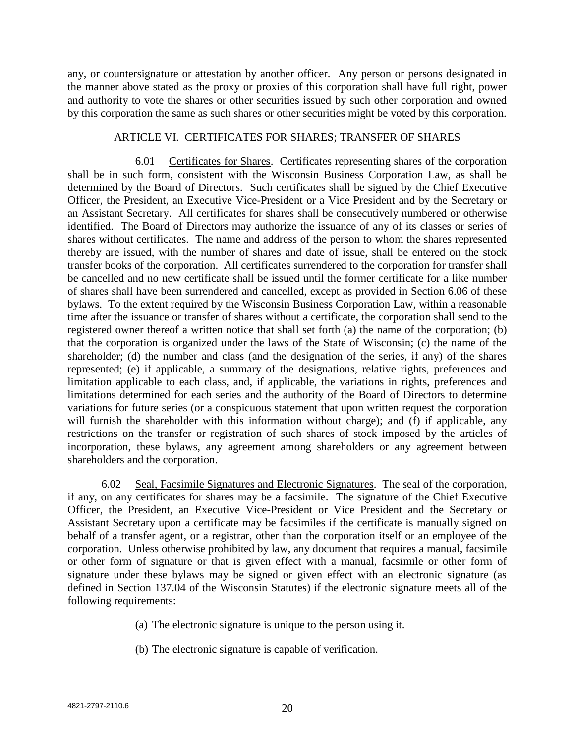any, or countersignature or attestation by another officer. Any person or persons designated in the manner above stated as the proxy or proxies of this corporation shall have full right, power and authority to vote the shares or other securities issued by such other corporation and owned by this corporation the same as such shares or other securities might be voted by this corporation.

#### ARTICLE VI. CERTIFICATES FOR SHARES; TRANSFER OF SHARES

6.01 Certificates for Shares. Certificates representing shares of the corporation shall be in such form, consistent with the Wisconsin Business Corporation Law, as shall be determined by the Board of Directors. Such certificates shall be signed by the Chief Executive Officer, the President, an Executive Vice-President or a Vice President and by the Secretary or an Assistant Secretary. All certificates for shares shall be consecutively numbered or otherwise identified. The Board of Directors may authorize the issuance of any of its classes or series of shares without certificates. The name and address of the person to whom the shares represented thereby are issued, with the number of shares and date of issue, shall be entered on the stock transfer books of the corporation. All certificates surrendered to the corporation for transfer shall be cancelled and no new certificate shall be issued until the former certificate for a like number of shares shall have been surrendered and cancelled, except as provided in Section 6.06 of these bylaws. To the extent required by the Wisconsin Business Corporation Law, within a reasonable time after the issuance or transfer of shares without a certificate, the corporation shall send to the registered owner thereof a written notice that shall set forth (a) the name of the corporation; (b) that the corporation is organized under the laws of the State of Wisconsin; (c) the name of the shareholder; (d) the number and class (and the designation of the series, if any) of the shares represented; (e) if applicable, a summary of the designations, relative rights, preferences and limitation applicable to each class, and, if applicable, the variations in rights, preferences and limitations determined for each series and the authority of the Board of Directors to determine variations for future series (or a conspicuous statement that upon written request the corporation will furnish the shareholder with this information without charge); and (f) if applicable, any restrictions on the transfer or registration of such shares of stock imposed by the articles of incorporation, these bylaws, any agreement among shareholders or any agreement between shareholders and the corporation.

6.02 Seal, Facsimile Signatures and Electronic Signatures. The seal of the corporation, if any, on any certificates for shares may be a facsimile. The signature of the Chief Executive Officer, the President, an Executive Vice-President or Vice President and the Secretary or Assistant Secretary upon a certificate may be facsimiles if the certificate is manually signed on behalf of a transfer agent, or a registrar, other than the corporation itself or an employee of the corporation. Unless otherwise prohibited by law, any document that requires a manual, facsimile or other form of signature or that is given effect with a manual, facsimile or other form of signature under these bylaws may be signed or given effect with an electronic signature (as defined in Section 137.04 of the Wisconsin Statutes) if the electronic signature meets all of the following requirements:

- (a) The electronic signature is unique to the person using it.
- (b) The electronic signature is capable of verification.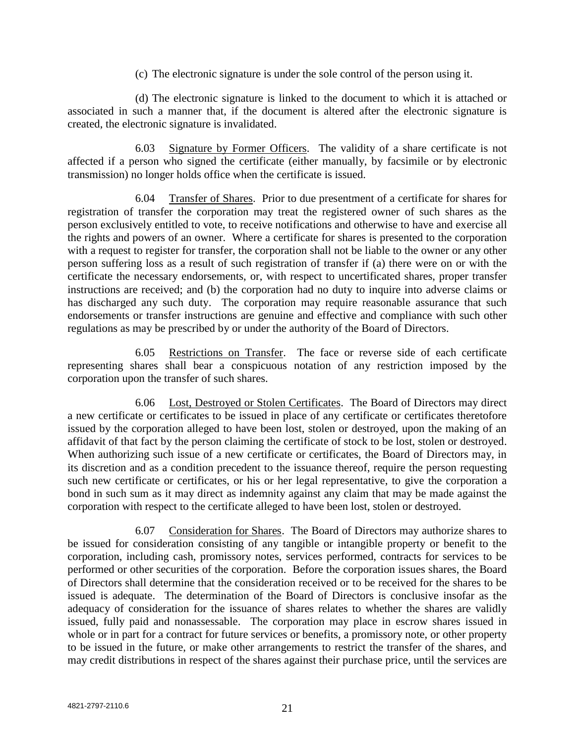(c) The electronic signature is under the sole control of the person using it.

(d) The electronic signature is linked to the document to which it is attached or associated in such a manner that, if the document is altered after the electronic signature is created, the electronic signature is invalidated.

6.03 Signature by Former Officers. The validity of a share certificate is not affected if a person who signed the certificate (either manually, by facsimile or by electronic transmission) no longer holds office when the certificate is issued.

6.04 Transfer of Shares. Prior to due presentment of a certificate for shares for registration of transfer the corporation may treat the registered owner of such shares as the person exclusively entitled to vote, to receive notifications and otherwise to have and exercise all the rights and powers of an owner. Where a certificate for shares is presented to the corporation with a request to register for transfer, the corporation shall not be liable to the owner or any other person suffering loss as a result of such registration of transfer if (a) there were on or with the certificate the necessary endorsements, or, with respect to uncertificated shares, proper transfer instructions are received; and (b) the corporation had no duty to inquire into adverse claims or has discharged any such duty. The corporation may require reasonable assurance that such endorsements or transfer instructions are genuine and effective and compliance with such other regulations as may be prescribed by or under the authority of the Board of Directors.

6.05 Restrictions on Transfer. The face or reverse side of each certificate representing shares shall bear a conspicuous notation of any restriction imposed by the corporation upon the transfer of such shares.

6.06 Lost, Destroyed or Stolen Certificates. The Board of Directors may direct a new certificate or certificates to be issued in place of any certificate or certificates theretofore issued by the corporation alleged to have been lost, stolen or destroyed, upon the making of an affidavit of that fact by the person claiming the certificate of stock to be lost, stolen or destroyed. When authorizing such issue of a new certificate or certificates, the Board of Directors may, in its discretion and as a condition precedent to the issuance thereof, require the person requesting such new certificate or certificates, or his or her legal representative, to give the corporation a bond in such sum as it may direct as indemnity against any claim that may be made against the corporation with respect to the certificate alleged to have been lost, stolen or destroyed.

6.07 Consideration for Shares. The Board of Directors may authorize shares to be issued for consideration consisting of any tangible or intangible property or benefit to the corporation, including cash, promissory notes, services performed, contracts for services to be performed or other securities of the corporation. Before the corporation issues shares, the Board of Directors shall determine that the consideration received or to be received for the shares to be issued is adequate. The determination of the Board of Directors is conclusive insofar as the adequacy of consideration for the issuance of shares relates to whether the shares are validly issued, fully paid and nonassessable. The corporation may place in escrow shares issued in whole or in part for a contract for future services or benefits, a promissory note, or other property to be issued in the future, or make other arrangements to restrict the transfer of the shares, and may credit distributions in respect of the shares against their purchase price, until the services are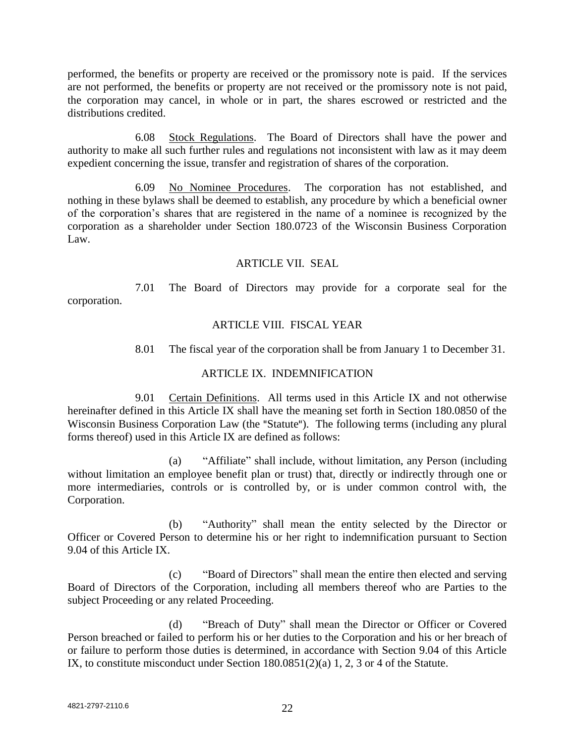performed, the benefits or property are received or the promissory note is paid. If the services are not performed, the benefits or property are not received or the promissory note is not paid, the corporation may cancel, in whole or in part, the shares escrowed or restricted and the distributions credited.

6.08 Stock Regulations. The Board of Directors shall have the power and authority to make all such further rules and regulations not inconsistent with law as it may deem expedient concerning the issue, transfer and registration of shares of the corporation.

6.09 No Nominee Procedures. The corporation has not established, and nothing in these bylaws shall be deemed to establish, any procedure by which a beneficial owner of the corporation's shares that are registered in the name of a nominee is recognized by the corporation as a shareholder under Section 180.0723 of the Wisconsin Business Corporation Law.

## ARTICLE VII. SEAL

7.01 The Board of Directors may provide for a corporate seal for the corporation.

## ARTICLE VIII. FISCAL YEAR

8.01 The fiscal year of the corporation shall be from January 1 to December 31.

## ARTICLE IX. INDEMNIFICATION

9.01 Certain Definitions. All terms used in this Article IX and not otherwise hereinafter defined in this Article IX shall have the meaning set forth in Section 180.0850 of the Wisconsin Business Corporation Law (the "Statute"). The following terms (including any plural forms thereof) used in this Article IX are defined as follows:

(a) "Affiliate" shall include, without limitation, any Person (including without limitation an employee benefit plan or trust) that, directly or indirectly through one or more intermediaries, controls or is controlled by, or is under common control with, the Corporation.

(b) "Authority" shall mean the entity selected by the Director or Officer or Covered Person to determine his or her right to indemnification pursuant to Section 9.04 of this Article IX.

(c) "Board of Directors" shall mean the entire then elected and serving Board of Directors of the Corporation, including all members thereof who are Parties to the subject Proceeding or any related Proceeding.

(d) "Breach of Duty" shall mean the Director or Officer or Covered Person breached or failed to perform his or her duties to the Corporation and his or her breach of or failure to perform those duties is determined, in accordance with Section 9.04 of this Article IX, to constitute misconduct under Section 180.0851(2)(a) 1, 2, 3 or 4 of the Statute.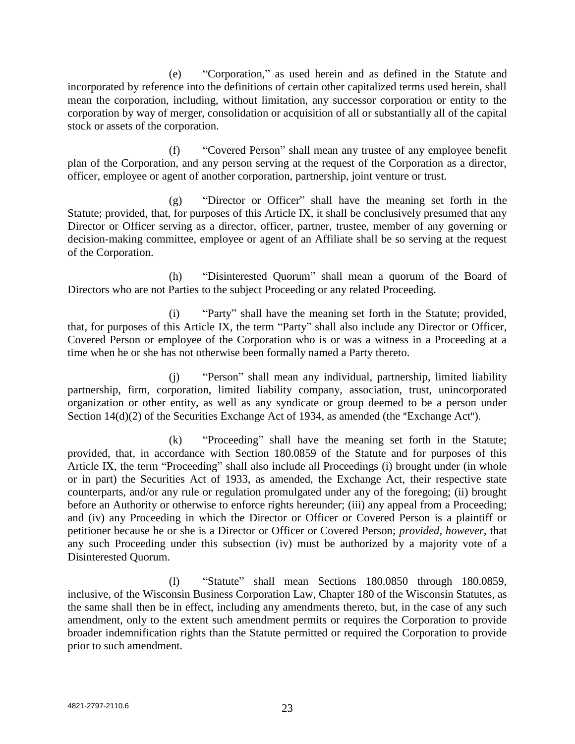(e) "Corporation," as used herein and as defined in the Statute and incorporated by reference into the definitions of certain other capitalized terms used herein, shall mean the corporation, including, without limitation, any successor corporation or entity to the corporation by way of merger, consolidation or acquisition of all or substantially all of the capital stock or assets of the corporation.

(f) "Covered Person" shall mean any trustee of any employee benefit plan of the Corporation, and any person serving at the request of the Corporation as a director, officer, employee or agent of another corporation, partnership, joint venture or trust.

(g) "Director or Officer" shall have the meaning set forth in the Statute; provided, that, for purposes of this Article IX, it shall be conclusively presumed that any Director or Officer serving as a director, officer, partner, trustee, member of any governing or decision-making committee, employee or agent of an Affiliate shall be so serving at the request of the Corporation.

(h) "Disinterested Quorum" shall mean a quorum of the Board of Directors who are not Parties to the subject Proceeding or any related Proceeding.

(i) "Party" shall have the meaning set forth in the Statute; provided, that, for purposes of this Article IX, the term "Party" shall also include any Director or Officer, Covered Person or employee of the Corporation who is or was a witness in a Proceeding at a time when he or she has not otherwise been formally named a Party thereto.

(j) "Person" shall mean any individual, partnership, limited liability partnership, firm, corporation, limited liability company, association, trust, unincorporated organization or other entity, as well as any syndicate or group deemed to be a person under Section 14(d)(2) of the Securities Exchange Act of 1934, as amended (the "Exchange Act").

(k) "Proceeding" shall have the meaning set forth in the Statute; provided, that, in accordance with Section 180.0859 of the Statute and for purposes of this Article IX, the term "Proceeding" shall also include all Proceedings (i) brought under (in whole or in part) the Securities Act of 1933, as amended, the Exchange Act, their respective state counterparts, and/or any rule or regulation promulgated under any of the foregoing; (ii) brought before an Authority or otherwise to enforce rights hereunder; (iii) any appeal from a Proceeding; and (iv) any Proceeding in which the Director or Officer or Covered Person is a plaintiff or petitioner because he or she is a Director or Officer or Covered Person; *provided, however,* that any such Proceeding under this subsection (iv) must be authorized by a majority vote of a Disinterested Quorum.

(l) "Statute" shall mean Sections 180.0850 through 180.0859, inclusive, of the Wisconsin Business Corporation Law, Chapter 180 of the Wisconsin Statutes, as the same shall then be in effect, including any amendments thereto, but, in the case of any such amendment, only to the extent such amendment permits or requires the Corporation to provide broader indemnification rights than the Statute permitted or required the Corporation to provide prior to such amendment.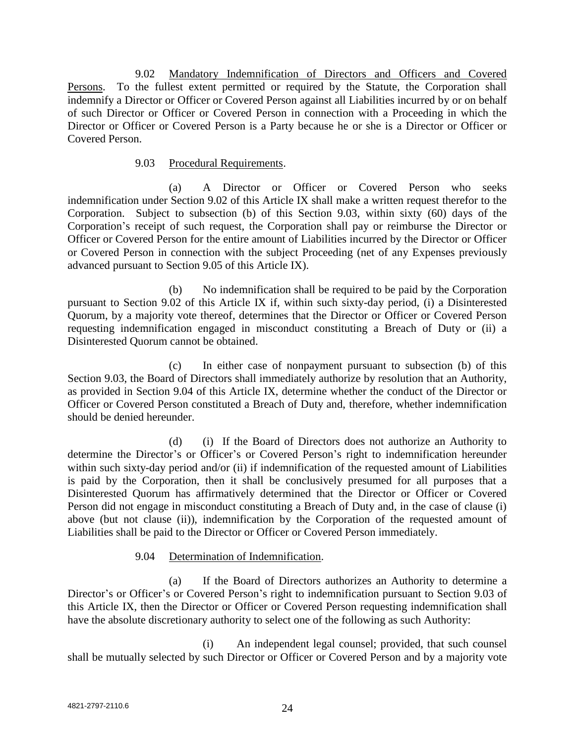9.02 Mandatory Indemnification of Directors and Officers and Covered Persons. To the fullest extent permitted or required by the Statute, the Corporation shall indemnify a Director or Officer or Covered Person against all Liabilities incurred by or on behalf of such Director or Officer or Covered Person in connection with a Proceeding in which the Director or Officer or Covered Person is a Party because he or she is a Director or Officer or Covered Person.

## 9.03 Procedural Requirements.

(a) A Director or Officer or Covered Person who seeks indemnification under Section 9.02 of this Article IX shall make a written request therefor to the Corporation. Subject to subsection (b) of this Section 9.03, within sixty (60) days of the Corporation's receipt of such request, the Corporation shall pay or reimburse the Director or Officer or Covered Person for the entire amount of Liabilities incurred by the Director or Officer or Covered Person in connection with the subject Proceeding (net of any Expenses previously advanced pursuant to Section 9.05 of this Article IX).

(b) No indemnification shall be required to be paid by the Corporation pursuant to Section 9.02 of this Article IX if, within such sixty-day period, (i) a Disinterested Quorum, by a majority vote thereof, determines that the Director or Officer or Covered Person requesting indemnification engaged in misconduct constituting a Breach of Duty or (ii) a Disinterested Quorum cannot be obtained.

(c) In either case of nonpayment pursuant to subsection (b) of this Section 9.03, the Board of Directors shall immediately authorize by resolution that an Authority, as provided in Section 9.04 of this Article IX, determine whether the conduct of the Director or Officer or Covered Person constituted a Breach of Duty and, therefore, whether indemnification should be denied hereunder.

(d) (i) If the Board of Directors does not authorize an Authority to determine the Director's or Officer's or Covered Person's right to indemnification hereunder within such sixty-day period and/or (ii) if indemnification of the requested amount of Liabilities is paid by the Corporation, then it shall be conclusively presumed for all purposes that a Disinterested Quorum has affirmatively determined that the Director or Officer or Covered Person did not engage in misconduct constituting a Breach of Duty and, in the case of clause (i) above (but not clause (ii)), indemnification by the Corporation of the requested amount of Liabilities shall be paid to the Director or Officer or Covered Person immediately.

# 9.04 Determination of Indemnification.

(a) If the Board of Directors authorizes an Authority to determine a Director's or Officer's or Covered Person's right to indemnification pursuant to Section 9.03 of this Article IX, then the Director or Officer or Covered Person requesting indemnification shall have the absolute discretionary authority to select one of the following as such Authority:

(i) An independent legal counsel; provided, that such counsel shall be mutually selected by such Director or Officer or Covered Person and by a majority vote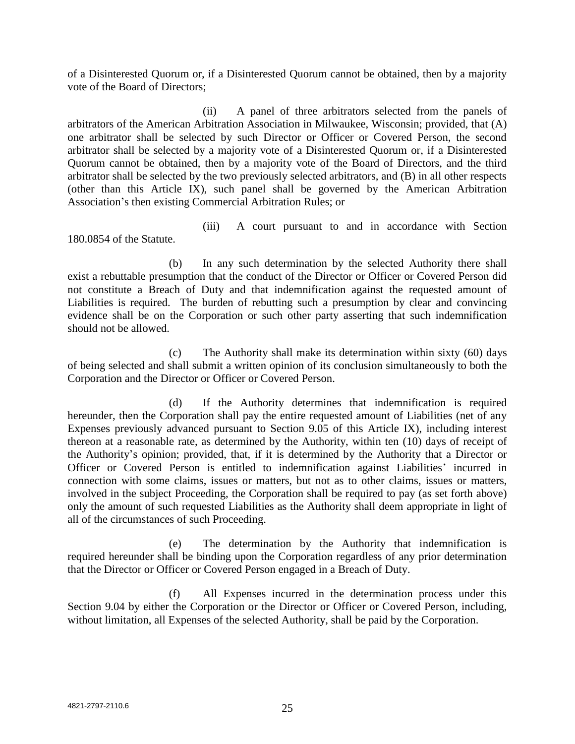of a Disinterested Quorum or, if a Disinterested Quorum cannot be obtained, then by a majority vote of the Board of Directors;

(ii) A panel of three arbitrators selected from the panels of arbitrators of the American Arbitration Association in Milwaukee, Wisconsin; provided, that (A) one arbitrator shall be selected by such Director or Officer or Covered Person, the second arbitrator shall be selected by a majority vote of a Disinterested Quorum or, if a Disinterested Quorum cannot be obtained, then by a majority vote of the Board of Directors, and the third arbitrator shall be selected by the two previously selected arbitrators, and (B) in all other respects (other than this Article IX), such panel shall be governed by the American Arbitration Association's then existing Commercial Arbitration Rules; or

(iii) A court pursuant to and in accordance with Section 180.0854 of the Statute.

(b) In any such determination by the selected Authority there shall exist a rebuttable presumption that the conduct of the Director or Officer or Covered Person did not constitute a Breach of Duty and that indemnification against the requested amount of Liabilities is required. The burden of rebutting such a presumption by clear and convincing evidence shall be on the Corporation or such other party asserting that such indemnification should not be allowed.

(c) The Authority shall make its determination within sixty (60) days of being selected and shall submit a written opinion of its conclusion simultaneously to both the Corporation and the Director or Officer or Covered Person.

(d) If the Authority determines that indemnification is required hereunder, then the Corporation shall pay the entire requested amount of Liabilities (net of any Expenses previously advanced pursuant to Section 9.05 of this Article IX), including interest thereon at a reasonable rate, as determined by the Authority, within ten (10) days of receipt of the Authority's opinion; provided, that, if it is determined by the Authority that a Director or Officer or Covered Person is entitled to indemnification against Liabilities' incurred in connection with some claims, issues or matters, but not as to other claims, issues or matters, involved in the subject Proceeding, the Corporation shall be required to pay (as set forth above) only the amount of such requested Liabilities as the Authority shall deem appropriate in light of all of the circumstances of such Proceeding.

(e) The determination by the Authority that indemnification is required hereunder shall be binding upon the Corporation regardless of any prior determination that the Director or Officer or Covered Person engaged in a Breach of Duty.

(f) All Expenses incurred in the determination process under this Section 9.04 by either the Corporation or the Director or Officer or Covered Person, including, without limitation, all Expenses of the selected Authority, shall be paid by the Corporation.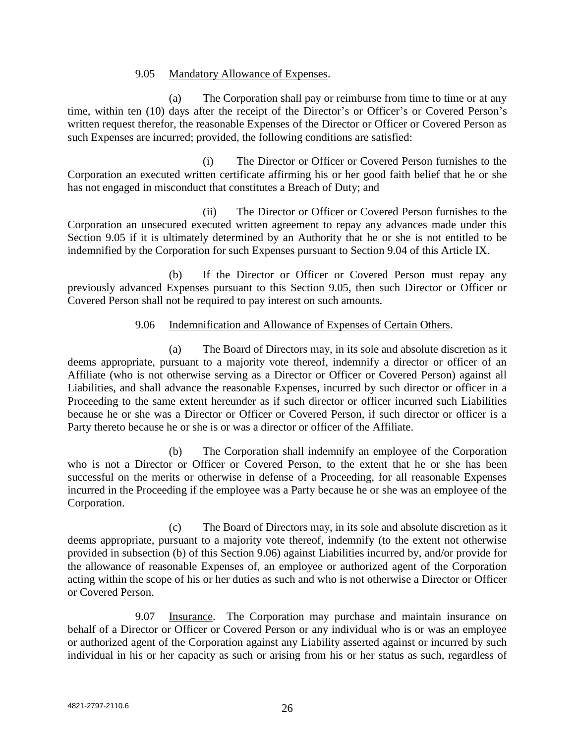### 9.05 Mandatory Allowance of Expenses.

(a) The Corporation shall pay or reimburse from time to time or at any time, within ten (10) days after the receipt of the Director's or Officer's or Covered Person's written request therefor, the reasonable Expenses of the Director or Officer or Covered Person as such Expenses are incurred; provided, the following conditions are satisfied:

(i) The Director or Officer or Covered Person furnishes to the Corporation an executed written certificate affirming his or her good faith belief that he or she has not engaged in misconduct that constitutes a Breach of Duty; and

(ii) The Director or Officer or Covered Person furnishes to the Corporation an unsecured executed written agreement to repay any advances made under this Section 9.05 if it is ultimately determined by an Authority that he or she is not entitled to be indemnified by the Corporation for such Expenses pursuant to Section 9.04 of this Article IX.

(b) If the Director or Officer or Covered Person must repay any previously advanced Expenses pursuant to this Section 9.05, then such Director or Officer or Covered Person shall not be required to pay interest on such amounts.

## 9.06 Indemnification and Allowance of Expenses of Certain Others.

(a) The Board of Directors may, in its sole and absolute discretion as it deems appropriate, pursuant to a majority vote thereof, indemnify a director or officer of an Affiliate (who is not otherwise serving as a Director or Officer or Covered Person) against all Liabilities, and shall advance the reasonable Expenses, incurred by such director or officer in a Proceeding to the same extent hereunder as if such director or officer incurred such Liabilities because he or she was a Director or Officer or Covered Person, if such director or officer is a Party thereto because he or she is or was a director or officer of the Affiliate.

(b) The Corporation shall indemnify an employee of the Corporation who is not a Director or Officer or Covered Person, to the extent that he or she has been successful on the merits or otherwise in defense of a Proceeding, for all reasonable Expenses incurred in the Proceeding if the employee was a Party because he or she was an employee of the Corporation.

(c) The Board of Directors may, in its sole and absolute discretion as it deems appropriate, pursuant to a majority vote thereof, indemnify (to the extent not otherwise provided in subsection (b) of this Section 9.06) against Liabilities incurred by, and/or provide for the allowance of reasonable Expenses of, an employee or authorized agent of the Corporation acting within the scope of his or her duties as such and who is not otherwise a Director or Officer or Covered Person.

9.07 Insurance. The Corporation may purchase and maintain insurance on behalf of a Director or Officer or Covered Person or any individual who is or was an employee or authorized agent of the Corporation against any Liability asserted against or incurred by such individual in his or her capacity as such or arising from his or her status as such, regardless of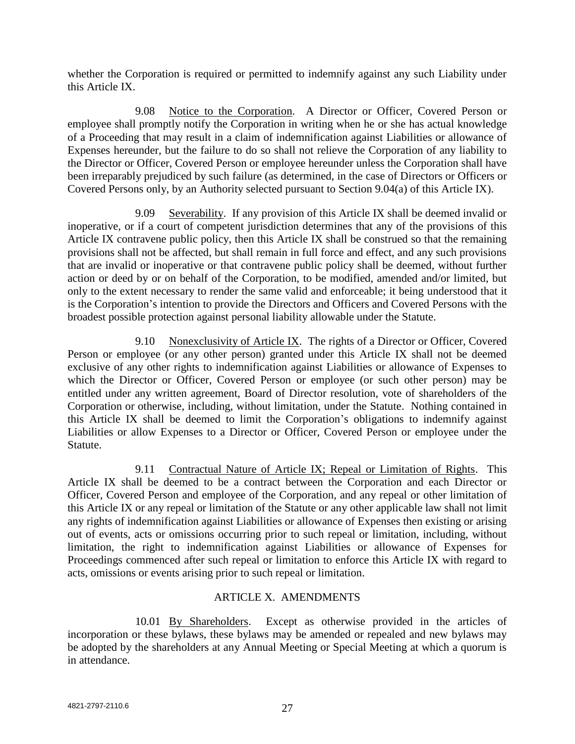whether the Corporation is required or permitted to indemnify against any such Liability under this Article IX.

9.08 Notice to the Corporation. A Director or Officer, Covered Person or employee shall promptly notify the Corporation in writing when he or she has actual knowledge of a Proceeding that may result in a claim of indemnification against Liabilities or allowance of Expenses hereunder, but the failure to do so shall not relieve the Corporation of any liability to the Director or Officer, Covered Person or employee hereunder unless the Corporation shall have been irreparably prejudiced by such failure (as determined, in the case of Directors or Officers or Covered Persons only, by an Authority selected pursuant to Section 9.04(a) of this Article IX).

9.09 Severability. If any provision of this Article IX shall be deemed invalid or inoperative, or if a court of competent jurisdiction determines that any of the provisions of this Article IX contravene public policy, then this Article IX shall be construed so that the remaining provisions shall not be affected, but shall remain in full force and effect, and any such provisions that are invalid or inoperative or that contravene public policy shall be deemed, without further action or deed by or on behalf of the Corporation, to be modified, amended and/or limited, but only to the extent necessary to render the same valid and enforceable; it being understood that it is the Corporation's intention to provide the Directors and Officers and Covered Persons with the broadest possible protection against personal liability allowable under the Statute.

9.10 Nonexclusivity of Article IX. The rights of a Director or Officer, Covered Person or employee (or any other person) granted under this Article IX shall not be deemed exclusive of any other rights to indemnification against Liabilities or allowance of Expenses to which the Director or Officer, Covered Person or employee (or such other person) may be entitled under any written agreement, Board of Director resolution, vote of shareholders of the Corporation or otherwise, including, without limitation, under the Statute. Nothing contained in this Article IX shall be deemed to limit the Corporation's obligations to indemnify against Liabilities or allow Expenses to a Director or Officer, Covered Person or employee under the Statute.

9.11 Contractual Nature of Article IX; Repeal or Limitation of Rights. This Article IX shall be deemed to be a contract between the Corporation and each Director or Officer, Covered Person and employee of the Corporation, and any repeal or other limitation of this Article IX or any repeal or limitation of the Statute or any other applicable law shall not limit any rights of indemnification against Liabilities or allowance of Expenses then existing or arising out of events, acts or omissions occurring prior to such repeal or limitation, including, without limitation, the right to indemnification against Liabilities or allowance of Expenses for Proceedings commenced after such repeal or limitation to enforce this Article IX with regard to acts, omissions or events arising prior to such repeal or limitation.

# ARTICLE X. AMENDMENTS

10.01 By Shareholders. Except as otherwise provided in the articles of incorporation or these bylaws, these bylaws may be amended or repealed and new bylaws may be adopted by the shareholders at any Annual Meeting or Special Meeting at which a quorum is in attendance.